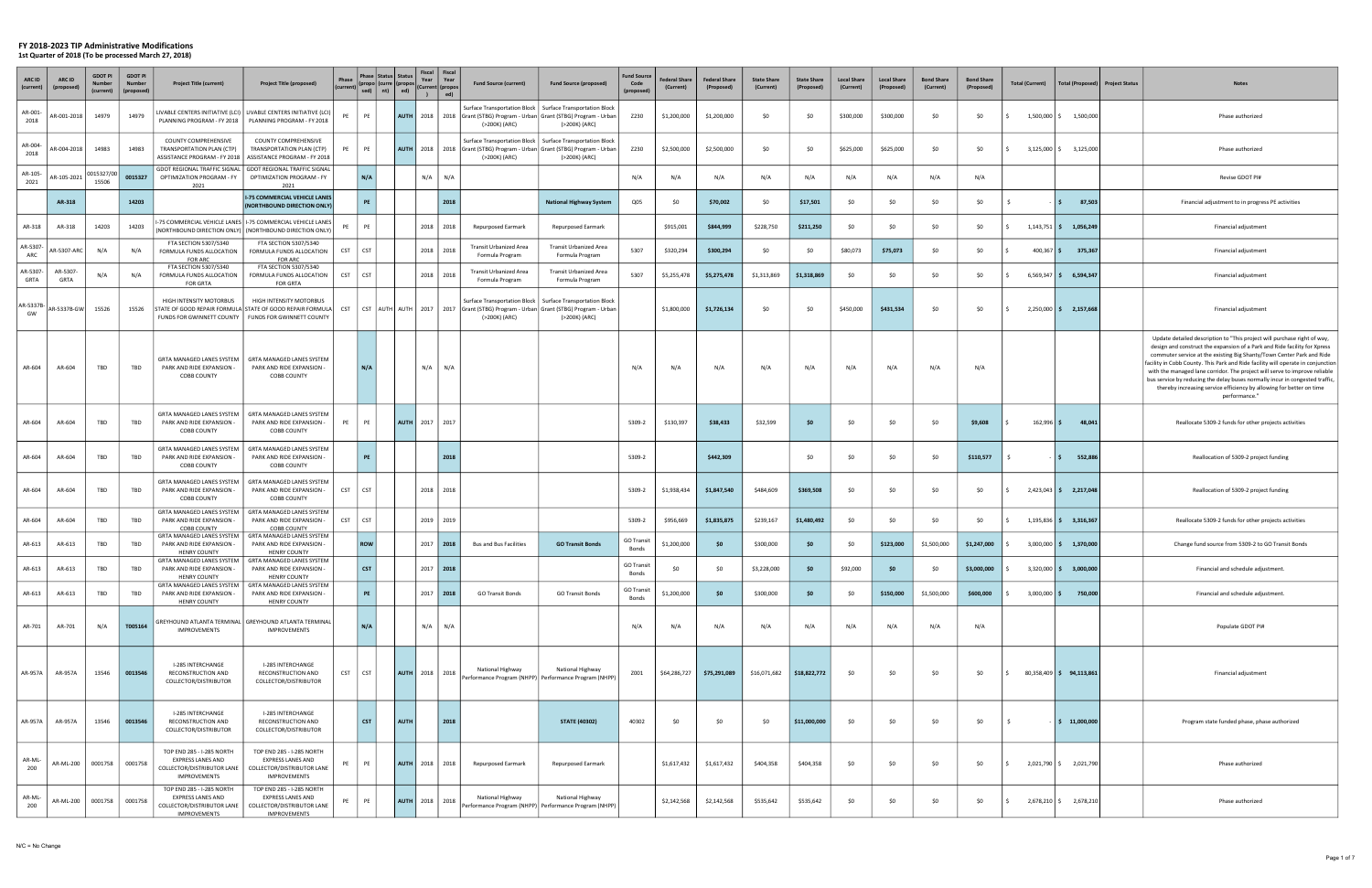| ARC ID<br>(current) | ARC ID          | <b>GDOT PI</b><br>(current) | <b>GDOT PI</b><br><b>Number</b><br>(proposed) | <b>Project Title (current)</b>                                                                             | <b>Project Title (proposed)</b>                                                                                         | Phase      | sed) $\mid$ nt) $\mid$ | <b>Status</b><br><b>Curre</b><br>ed) | Fiscal<br>Year        | Fiscal<br>Year<br>(Current  (propo<br>)   ed) | <b>Fund Source (current)</b>                                                               | <b>Fund Source (proposed)</b>                                                                                                                                           | <b>Fund Source</b><br>Code<br>(proposed) | Federal Share<br>(Current) | <b>Federal Share</b><br>(Proposed) | <b>State Share</b><br>(Current) | <b>State Share</b><br>(Proposed) | <b>Local Share</b><br>(Current) | <b>Local Share</b><br>(Proposed) | <b>Bond Share</b><br>(Current) | <b>Bond Share</b><br>(Proposed) | <b>Total (Current)</b> | Total (Proposed)           | <b>Project Status</b> | <b>Notes</b>                                                                                                                                                                                                                                                                                                                                                                                                                                                                                                                                                              |
|---------------------|-----------------|-----------------------------|-----------------------------------------------|------------------------------------------------------------------------------------------------------------|-------------------------------------------------------------------------------------------------------------------------|------------|------------------------|--------------------------------------|-----------------------|-----------------------------------------------|--------------------------------------------------------------------------------------------|-------------------------------------------------------------------------------------------------------------------------------------------------------------------------|------------------------------------------|----------------------------|------------------------------------|---------------------------------|----------------------------------|---------------------------------|----------------------------------|--------------------------------|---------------------------------|------------------------|----------------------------|-----------------------|---------------------------------------------------------------------------------------------------------------------------------------------------------------------------------------------------------------------------------------------------------------------------------------------------------------------------------------------------------------------------------------------------------------------------------------------------------------------------------------------------------------------------------------------------------------------------|
| AR-001<br>2018      | AR-001-2018     | 14979                       | 14979                                         | PLANNING PROGRAM - FY 2018                                                                                 | LIVABLE CENTERS INITIATIVE (LCI)   LIVABLE CENTERS INITIATIVE (LCI)<br>PLANNING PROGRAM - FY 2018                       | PE         | PE                     | <b>AUTH</b>                          |                       |                                               | 2018   2018   Grant (STBG) Program - Urban   Grant (STBG) Program - Urban<br>(>200K) (ARC) | Surface Transportation Block   Surface Transportation Block<br>(>200K) (ARC)                                                                                            | Z230                                     | \$1,200,000                | \$1,200,000                        | \$0                             | \$0                              | \$300,000                       | \$300,000                        | \$0                            | \$0                             | 1,500,000 \$           | 1,500,000                  |                       | Phase authorized                                                                                                                                                                                                                                                                                                                                                                                                                                                                                                                                                          |
| AR-004<br>2018      | R-004-2018      | 14983                       | 14983                                         | COUNTY COMPREHENSIVE<br>TRANSPORTATION PLAN (CTP)<br>ASSISTANCE PROGRAM - FY 2018                          | COUNTY COMPREHENSIVE<br>TRANSPORTATION PLAN (CTP)<br>ASSISTANCE PROGRAM - FY 2018                                       | PE         | PF                     | <b>AUTH</b>                          |                       |                                               | (>200K) (ARC)                                                                              | Surface Transportation Block   Surface Transportation Block<br>2018   2018   Grant (STBG) Program - Urban   Grant (STBG) Program - Urban<br>(>200K) (ARC)               | Z230                                     | \$2,500,000                | \$2,500,000                        | \$0                             | \$0                              | \$625,000                       | \$625,000                        | \$0                            | \$0                             | $3,125,000$ \$         | 3,125,000                  |                       | Phase authorized                                                                                                                                                                                                                                                                                                                                                                                                                                                                                                                                                          |
| AR-105<br>2021      | R-105-2021      | 15327/00  <br>15506         | 0015327                                       | OPTIMIZATION PROGRAM - FY<br>2021                                                                          | GDOT REGIONAL TRAFFIC SIGNAL   GDOT REGIONAL TRAFFIC SIGNAL<br>OPTIMIZATION PROGRAM - FY<br>2021                        |            | N/A                    |                                      | N/A                   | N/A                                           |                                                                                            |                                                                                                                                                                         | N/A                                      | N/A                        | N/A                                | N/A                             | N/A                              | N/A                             | N/A                              | N/A                            | N/A                             |                        |                            |                       | Revise GDOT PI#                                                                                                                                                                                                                                                                                                                                                                                                                                                                                                                                                           |
|                     | AR-318          |                             | 14203                                         |                                                                                                            | <b>I-75 COMMERCIAL VEHICLE LANES</b><br>(NORTHBOUND DIRECTION ONLY)                                                     |            | PE                     |                                      |                       | 2018                                          |                                                                                            | <b>National Highway System</b>                                                                                                                                          | Q05                                      | \$0                        | \$70,002                           | \$0                             | \$17,501                         | \$0                             | <b>SO</b>                        | \$0                            | \$0                             |                        | 87,503<br>l\$.             |                       | Financial adjustment to in progress PE activities                                                                                                                                                                                                                                                                                                                                                                                                                                                                                                                         |
| AR-318              | AR-318          | 14203                       | 14203                                         |                                                                                                            | -75 COMMERCIAL VEHICLE LANES   I-75 COMMERCIAL VEHICLE LANES<br>(NORTHBOUND DIRECTION ONLY) (NORTHBOUND DIRECTION ONLY) |            | PF                     |                                      | 2018                  | 2018                                          | <b>Repurposed Earmark</b>                                                                  | <b>Repurposed Earmark</b>                                                                                                                                               |                                          | \$915,001                  | \$844,999                          | \$228,750                       | \$211,250                        | \$0                             | <b>SO</b>                        | \$0                            | \$0                             |                        | $1,143,751$ \$ 1,056,249   |                       | Financial adjustment                                                                                                                                                                                                                                                                                                                                                                                                                                                                                                                                                      |
| AR-5307-<br>ARC     | R-5307-ARC      | N/A                         | N/A                                           | FTA SECTION 5307/5340<br>FORMULA FUNDS ALLOCATION<br>FOR ARC                                               | FTA SECTION 5307/5340<br>FORMULA FUNDS ALLOCATION<br><b>FOR ARC</b>                                                     | CST        | <b>CST</b>             |                                      |                       | 2018 2018                                     | Transit Urbanized Area<br>Formula Program                                                  | Transit Urbanized Area<br>Formula Program                                                                                                                               | 5307                                     | \$320,294                  | \$300,294                          | \$0                             | \$0                              | \$80,073                        | \$75,073                         | \$0                            | \$0                             | $400,367$ \$           | 375,367                    |                       | Financial adjustment                                                                                                                                                                                                                                                                                                                                                                                                                                                                                                                                                      |
| AR-5307-<br>GRTA    | AR-5307<br>GRTA | N/A                         | N/A                                           | FTA SECTION 5307/5340<br>FORMULA FUNDS ALLOCATION<br><b>FOR GRTA</b>                                       | FTA SECTION 5307/5340<br>FORMULA FUNDS ALLOCATION<br><b>FOR GRTA</b>                                                    | <b>CST</b> | <b>CST</b>             |                                      |                       | 2018 2018                                     | Transit Urbanized Area<br>Formula Program                                                  | Transit Urbanized Area<br>Formula Program                                                                                                                               | 5307                                     | \$5,255,478                | \$5,275,478                        | \$1,313,869                     | \$1,318,869                      | \$0                             | -SO                              | \$0                            | \$0                             | $6,569,347$ \$         | 6,594,347                  |                       | Financial adjustment                                                                                                                                                                                                                                                                                                                                                                                                                                                                                                                                                      |
| AR-5337B<br>GW      | AR-5337B-GW     | 15526                       | 15526                                         | HIGH INTENSITY MOTORBUS<br>STATE OF GOOD REPAIR FORMULA STATE OF GOOD REPAIR FORMULA CST                   | HIGH INTENSITY MOTORBUS<br>FUNDS FOR GWINNETT COUNTY   FUNDS FOR GWINNETT COUNTY                                        |            |                        |                                      |                       |                                               | (>200K) (ARC)                                                                              | Surface Transportation Block   Surface Transportation Block<br>CST AUTH AUTH   2017   2017   Grant (STBG) Program - Urban Grant (STBG) Program - Urban<br>(>200K) (ARC) |                                          | \$1,800,000                | \$1,726,134                        | \$0                             | \$0                              | \$450,000                       | \$431,534                        | \$0                            | \$0                             |                        | $2,250,000$ \$ 2,157,668   |                       | Financial adjustment                                                                                                                                                                                                                                                                                                                                                                                                                                                                                                                                                      |
| AR-604              | AR-604          | TBD                         | TBD                                           | GRTA MANAGED LANES SYSTEM<br>PARK AND RIDE EXPANSION -<br>COBB COUNTY                                      | GRTA MANAGED LANES SYSTEM<br>PARK AND RIDE EXPANSION -<br><b>COBB COUNTY</b>                                            |            | N/A                    |                                      | N/A                   | N/A                                           |                                                                                            |                                                                                                                                                                         | N/A                                      | N/A                        | N/A                                | N/A                             | N/A                              | N/A                             | N/A                              | N/A                            | N/A                             |                        |                            |                       | Update detailed description to "This project will purchase right of way,<br>design and construct the expansion of a Park and Ride facility for Xpress<br>commuter service at the existing Big Shanty/Town Center Park and Ride<br>facility in Cobb County. This Park and Ride facility will operate in conjunction<br>with the managed lane corridor. The project will serve to improve reliable<br>bus service by reducing the delay buses normally incur in congested traffic,<br>thereby increasing service efficiency by allowing for better on time<br>performance." |
| AR-604              | AR-604          | TBD                         | TBD                                           | GRTA MANAGED LANES SYSTEM<br>PARK AND RIDE EXPANSION -<br>COBB COUNTY                                      | GRTA MANAGED LANES SYSTEM<br>PARK AND RIDE EXPANSION -<br><b>COBB COUNTY</b>                                            | PE         | PE                     | <b>AUTH</b>                          |                       | 2017 2017                                     |                                                                                            |                                                                                                                                                                         | 5309-2                                   | \$130,397                  | \$38,433                           | \$32,599                        | \$0                              | \$0                             | <b>SO</b>                        | \$0                            | \$9,608                         | $162,996$ \$           | 48,041                     |                       | Reallocate 5309-2 funds for other projects activities                                                                                                                                                                                                                                                                                                                                                                                                                                                                                                                     |
| AR-604              | AR-604          | TBD                         | TBD                                           | GRTA MANAGED LANES SYSTEM<br>PARK AND RIDE EXPANSION -<br>COBB COUNTY                                      | GRTA MANAGED LANES SYSTEM<br>PARK AND RIDE EXPANSION<br><b>COBB COUNTY</b>                                              |            | <b>PE</b>              |                                      |                       | 2018                                          |                                                                                            |                                                                                                                                                                         | 5309-2                                   |                            | \$442,309                          |                                 | \$0                              | \$0                             | \$0                              | \$0                            | \$110,577                       |                        | 552,886<br>I \$            |                       | Reallocation of 5309-2 project funding                                                                                                                                                                                                                                                                                                                                                                                                                                                                                                                                    |
| AR-604              | AR-604          | TBD                         | TBD                                           | GRTA MANAGED LANES SYSTEM<br>PARK AND RIDE EXPANSION -<br><b>COBB COUNTY</b>                               | GRTA MANAGED LANES SYSTEM<br>PARK AND RIDE EXPANSION -<br><b>COBB COUNTY</b>                                            | <b>CST</b> | <b>CST</b>             |                                      |                       | 2018 2018                                     |                                                                                            |                                                                                                                                                                         | 5309-2                                   | \$1,938,434                | \$1,847,540                        | \$484,609                       | \$369,508                        | \$0                             | -SO                              | \$0                            | \$0                             |                        | 2,423,043 \$ 2,217,048     |                       | Reallocation of 5309-2 project funding                                                                                                                                                                                                                                                                                                                                                                                                                                                                                                                                    |
| AR-604              | AR-604          | TBD                         | TBD                                           | GRTA MANAGED LANES SYSTEM<br>PARK AND RIDE EXPANSION -<br><b>COBB COUNTY</b>                               | GRTA MANAGED LANES SYSTEM<br>PARK AND RIDE EXPANSION<br><b>COBB COUNTY</b>                                              | <b>CST</b> | <b>CST</b>             |                                      |                       | 2019 2019                                     |                                                                                            |                                                                                                                                                                         | 5309-2                                   | \$956,669                  | \$1,835,875                        | \$239,167                       | \$1,480,492                      | \$0                             | -SO                              | \$0                            | \$0                             |                        | $1,195,836$ \$ 3,316,367   |                       | Reallocate 5309-2 funds for other projects activities                                                                                                                                                                                                                                                                                                                                                                                                                                                                                                                     |
| AR-613              | AR-613          | TBD                         | TBD                                           | GRTA MANAGED LANES SYSTEM<br>PARK AND RIDE EXPANSION -<br><b>HENRY COUNTY</b>                              | GRTA MANAGED LANES SYSTEM<br>PARK AND RIDE EXPANSION<br><b>HENRY COUNTY</b>                                             |            | <b>ROW</b>             |                                      |                       | 2017 2018                                     | <b>Bus and Bus Facilities</b>                                                              | <b>GO Transit Bonds</b>                                                                                                                                                 | <b>GO Transit</b><br>Bonds               | \$1,200,000                | -SO                                | \$300,000                       | \$0                              | \$0                             | \$123,000                        | \$1,500,000                    | \$1,247,000                     |                        | $3,000,000$ \$ 1,370,000   |                       | Change fund source from 5309-2 to GO Transit Bonds                                                                                                                                                                                                                                                                                                                                                                                                                                                                                                                        |
| AR-613              | AR-613          | TBD                         | TBD                                           | PARK AND RIDE EXPANSION -<br><b>HENRY COUNTY</b>                                                           | GRTA MANAGED LANES SYSTEM   GRTA MANAGED LANES SYSTEM<br>PARK AND RIDE EXPANSION -<br><b>HENRY COUNTY</b>               |            | <b>CST</b>             |                                      |                       | 2017   2018                                   |                                                                                            |                                                                                                                                                                         | <b>GO Transit</b><br>Bonds               | \$0                        | \$0                                | \$3,228,000                     | \$0                              | \$92,000                        |                                  | \$0                            | \$3,000,000                     |                        | $3,320,000$ \$ 3,000,000   |                       | Financial and schedule adjustment.                                                                                                                                                                                                                                                                                                                                                                                                                                                                                                                                        |
| AR-613              | AR-613          | TBD                         | TBD                                           | GRTA MANAGED LANES SYSTEM<br>PARK AND RIDE EXPANSION -<br><b>HENRY COUNTY</b>                              | GRTA MANAGED LANES SYSTEM<br>PARK AND RIDE EXPANSION<br><b>HENRY COUNTY</b>                                             |            | PE                     |                                      |                       | $2017$ 2018                                   | <b>GO Transit Bonds</b>                                                                    | <b>GO Transit Bonds</b>                                                                                                                                                 | <b>GO Transit</b><br>Bonds               | \$1,200,000                | \$0                                | \$300,000                       | \$0                              | \$0                             | \$150,000                        | \$1,500,000                    | \$600,000                       |                        | $3,000,000$ \$ 750,000     |                       | Financial and schedule adjustment.                                                                                                                                                                                                                                                                                                                                                                                                                                                                                                                                        |
| AR-701              | AR-701          | N/A                         | T005164                                       | GREYHOUND ATLANTA TERMINAL GREYHOUND ATLANTA TERMINAL<br><b>IMPROVEMENTS</b>                               | <b>IMPROVEMENTS</b>                                                                                                     |            | N/A                    |                                      | N/A                   | N/A                                           |                                                                                            |                                                                                                                                                                         | N/A                                      | N/A                        | N/A                                | N/A                             | N/A                              | N/A                             | N/A                              | N/A                            | N/A                             |                        |                            |                       | Populate GDOT PI#                                                                                                                                                                                                                                                                                                                                                                                                                                                                                                                                                         |
| AR-957A             | AR-957A         | 13546                       | 0013546                                       | I-285 INTERCHANGE<br>RECONSTRUCTION AND<br>COLLECTOR/DISTRIBUTOR                                           | <b>I-285 INTERCHANGE</b><br>RECONSTRUCTION AND<br>COLLECTOR/DISTRIBUTOR                                                 | CST        | CST                    |                                      | <b>AUTH</b> 2018 2018 |                                               | National Highway<br>Performance Program (NHPP)   Performance Program (NHPP)                | National Highway                                                                                                                                                        | Z001                                     | \$64,286,727               | \$75,291,089                       | \$16,071,682                    | \$18,822,772                     | \$0                             | \$0                              | \$0                            | \$0                             |                        | $80,358,409$ \$ 94,113,861 |                       | Financial adjustment                                                                                                                                                                                                                                                                                                                                                                                                                                                                                                                                                      |
| AR-957A             | AR-957A         | 13546                       | 0013546                                       | I-285 INTERCHANGE<br>RECONSTRUCTION AND<br>COLLECTOR/DISTRIBUTOR                                           | I-285 INTERCHANGE<br>RECONSTRUCTION AND<br>COLLECTOR/DISTRIBUTOR                                                        |            | <b>CST</b>             | <b>AUTH</b>                          |                       | 2018                                          |                                                                                            | <b>STATE (40302)</b>                                                                                                                                                    | 40302                                    | \$0                        | \$0                                | \$0                             | \$11,000,000                     | \$0                             | \$0                              | \$0                            | \$0                             | -S                     | \$11,000,000               |                       | Program state funded phase, phase authorized                                                                                                                                                                                                                                                                                                                                                                                                                                                                                                                              |
| AR-ML<br>200        | AR-ML-200       | 0001758                     | 0001758                                       | TOP END 285 - I-285 NORTH<br><b>EXPRESS LANES AND</b><br>COLLECTOR/DISTRIBUTOR LANE<br><b>IMPROVEMENTS</b> | TOP END 285 - I-285 NORTH<br><b>EXPRESS LANES AND</b><br>COLLECTOR/DISTRIBUTOR LANE<br>IMPROVEMENTS                     | PE         | PE                     |                                      | AUTH 2018 2018        |                                               | Repurposed Earmark                                                                         | <b>Repurposed Earmark</b>                                                                                                                                               |                                          | \$1,617,432                | \$1,617,432                        | \$404,358                       | \$404,358                        | \$0                             | \$0                              | \$0                            | \$0                             |                        | 2,021,790 \$ 2,021,790     |                       | Phase authorized                                                                                                                                                                                                                                                                                                                                                                                                                                                                                                                                                          |
| AR-ML<br>200        | AR-ML-200       | 0001758                     | 0001758                                       | TOP END 285 - I-285 NORTH<br><b>EXPRESS LANES AND</b><br>COLLECTOR/DISTRIBUTOR LANE<br><b>IMPROVEMENTS</b> | TOP END 285 - I-285 NORTH<br><b>EXPRESS LANES AND</b><br>COLLECTOR/DISTRIBUTOR LANE<br><b>IMPROVEMENTS</b>              | PE         | PE                     |                                      | AUTH 2018 2018        |                                               | National Highway                                                                           | National Highway<br>Performance Program (NHPP) Performance Program (NHPP)                                                                                               |                                          | \$2,142,568                | \$2,142,568                        | \$535,642                       | \$535,642                        | \$0                             | \$0                              | \$0                            | \$0                             |                        | 2,678,210   \$ 2,678,210   |                       | Phase authorized                                                                                                                                                                                                                                                                                                                                                                                                                                                                                                                                                          |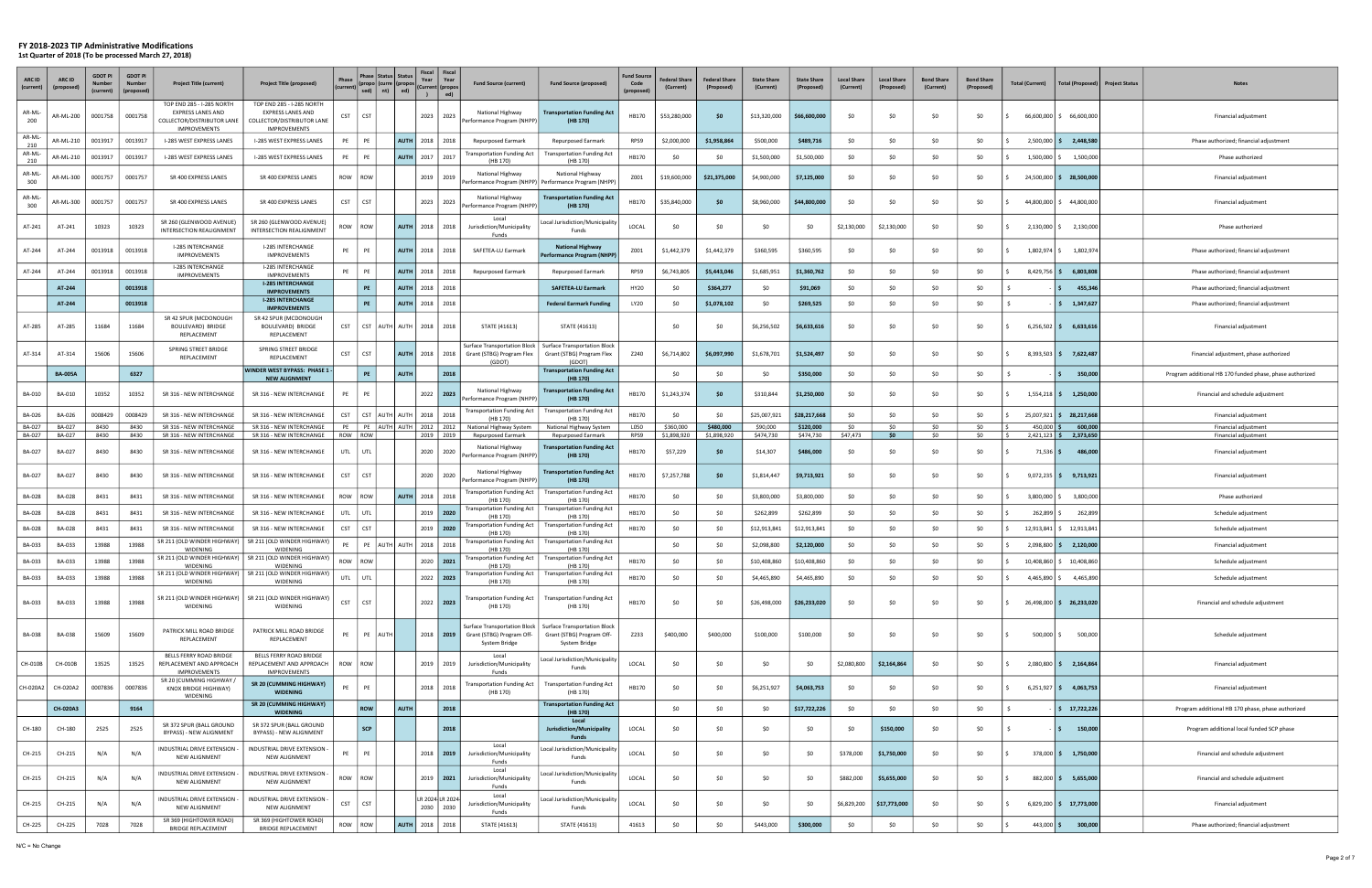#### FY 2018-2023 TIP Administrative Modifications

1st Quarter of 2018 (To be processed March 27, 2018)

| ARC ID<br>(current)     | <b>ARC ID</b><br>(propo | <b>GDOT PI</b><br>(current | <b>GDOT PI</b><br>(propose | <b>Project Title (current)</b>                                                                             | <b>Project Title (proposed)</b>                                                                            | Phase            | Phase   Status<br> (propo  (curre   (propos<br>sed)  <br>nt) | <b>Status</b><br>ed)   | Fiscal Fiscal<br>Year<br>Year<br>(Current  (propo<br>ed)<br>$\overline{ }$ | <b>Fund Source (current)</b>                                                      | <b>Fund Source (proposed)</b>                                                     | <b>Fund Sourc</b><br>Code<br>(proposed | <b>Federal Share</b><br>(Current) | <b>Federal Share</b><br>(Proposed) | <b>State Share</b><br>(Current) | <b>State Share</b><br>(Proposed) | <b>Local Share</b><br>(Current) | <b>Local Share</b><br>(Proposed) | <b>Bond Share</b><br>(Current) | <b>Bond Share</b><br>(Proposed) | Total (Current)           | <b>Total (Proposed</b>    | <b>Project Status</b> | <b>Notes</b>                                             |
|-------------------------|-------------------------|----------------------------|----------------------------|------------------------------------------------------------------------------------------------------------|------------------------------------------------------------------------------------------------------------|------------------|--------------------------------------------------------------|------------------------|----------------------------------------------------------------------------|-----------------------------------------------------------------------------------|-----------------------------------------------------------------------------------|----------------------------------------|-----------------------------------|------------------------------------|---------------------------------|----------------------------------|---------------------------------|----------------------------------|--------------------------------|---------------------------------|---------------------------|---------------------------|-----------------------|----------------------------------------------------------|
| AR-ML-<br>200           | AR-ML-200               | 0001758                    | 0001758                    | TOP END 285 - I-285 NORTH<br><b>EXPRESS LANES AND</b><br>COLLECTOR/DISTRIBUTOR LANE<br><b>IMPROVEMENTS</b> | TOP END 285 - I-285 NORTH<br><b>EXPRESS LANES AND</b><br>COLLECTOR/DISTRIBUTOR LANE<br><b>IMPROVEMENTS</b> | CST              | CST                                                          |                        | 2023<br>2023                                                               | National Highway<br>Performance Program (NHPP)                                    | <b>Transportation Funding Act</b><br>(HB 170)                                     | HB170                                  | \$53,280,000                      | - \$0                              | \$13,320,000                    | \$66,600,000                     | \$0                             | \$0                              | \$0                            | \$0                             |                           | 66,600,000 \$ 66,600,000  |                       | Financial adjustment                                     |
| AR-ML-<br>210           | AR-ML-210               | 0013917                    | 0013917                    | I-285 WEST EXPRESS LANES                                                                                   | I-285 WEST EXPRESS LANES                                                                                   | PE               |                                                              | <b>AUTH</b>            | 2018<br>2018                                                               | <b>Repurposed Earmark</b>                                                         | Repurposed Earmark                                                                | RPS9                                   | \$2,000,000                       | \$1,958,864                        | \$500,000                       | \$489,716                        | \$0                             | \$0                              | \$0                            | \$0                             | $2,500,000$ \$            | 2,448,580                 |                       | Phase authorized; financial adjustment                   |
| AR-ML-<br>210           | AR-ML-210               | 0013917                    | 0013917                    | I-285 WEST EXPRESS LANES                                                                                   | I-285 WEST EXPRESS LANES                                                                                   | PE               |                                                              | AUTH                   | 2017<br>2017                                                               | Transportation Funding Act<br>(HB 170)                                            | <b>Transportation Funding Act</b><br>(HB 170)                                     | HB170                                  | \$0                               | -SC                                | \$1,500,000                     | \$1,500,000                      | \$0                             | \$0                              | \$0                            | \$0                             | $1,500,000$ $\mid$ \$     | 1,500,000                 |                       | Phase authorized                                         |
| AR-ML-<br>300           | AR-ML-300               | 0001757                    | 0001757                    | SR 400 EXPRESS LANES                                                                                       | SR 400 EXPRESS LANES                                                                                       | ROW              | ROW                                                          |                        | 2019<br>2019                                                               | National Highway                                                                  | National Highway<br>Performance Program (NHPP) Performance Program (NHPP          | Z001                                   | \$19,600,000                      | \$21,375,000                       | \$4,900,000                     | \$7,125,000                      | \$0                             | S0                               | \$0                            | \$0                             |                           | 24,500,000 \$ 28,500,000  |                       | Financial adjustment                                     |
| AR-ML-<br>300           | AR-ML-300               | 0001757                    | 0001757                    | SR 400 EXPRESS LANES                                                                                       | SR 400 EXPRESS LANES                                                                                       | CST              | <b>CST</b>                                                   |                        | 2023<br>2023                                                               | National Highway<br>Performance Program (NHPI                                     | <b>Transportation Funding Act</b><br>(HB 170)                                     | HB170                                  | \$35,840,000                      | - \$0                              | \$8,960,000                     | \$44,800,000                     | \$0                             | S0                               | \$0                            | \$0                             |                           | 44.800.000 \$44.800.000   |                       | Financial adjustment                                     |
| AT-241                  | AT-241                  | 10323                      | 10323                      | SR 260 (GLENWOOD AVENUE)<br>INTERSECTION REALIGNMENT                                                       | SR 260 (GLENWOOD AVENUE)<br>INTERSECTION REALIGNMENT                                                       | ROW              | ROW                                                          | <b>AUTH</b>            | 2018<br>2018                                                               | Local<br>Jurisdiction/Municipality<br>Funds                                       | ocal Jurisdiction/Municipality<br>Funds                                           | LOCAL                                  | - SO                              | \$0                                | SO.                             | - \$0                            | \$2,130,000                     | \$2,130,000                      | \$0                            | \$0                             |                           | 2,130,000 \$ 2,130,000    |                       | Phase authorized                                         |
| AT-244                  | AT-244                  | 0013918                    | 0013918                    | I-285 INTERCHANGE<br><b>IMPROVEMENTS</b>                                                                   | I-285 INTERCHANGE<br><b>IMPROVEMENTS</b>                                                                   | PE               |                                                              | <b>AUTH</b>            | 2018<br>2018                                                               | SAFETEA-LU Earmark                                                                | <b>National Highway</b><br>'erformance Program (NHPP                              | Z001                                   | \$1,442,379                       | \$1,442,379                        | \$360,595                       | \$360,595                        | \$0                             | \$0                              | \$0                            | \$0                             | 1,802,974 \$              | 1,802,974                 |                       | Phase authorized; financial adjustment                   |
| AT-244                  | AT-244                  | 0013918                    | 0013918                    | I-285 INTERCHANGE<br><b>IMPROVEMENTS</b>                                                                   | I-285 INTERCHANGE<br><b>IMPROVEMENTS</b>                                                                   | PE               |                                                              | <b>AUTH</b>            | 2018 2018                                                                  | <b>Repurposed Earmark</b>                                                         | <b>Repurposed Earmark</b>                                                         | RPS9                                   | \$6,743,805                       | \$5,443,046                        | \$1,685,951                     | \$1,360,762                      | \$0                             | \$0                              | \$0                            | \$0                             | $8,429,756$ \$            | 6,803,808                 |                       | Phase authorized; financial adjustment                   |
|                         | AT-244                  |                            | 0013918                    |                                                                                                            | <b>I-285 INTERCHANGE</b><br><b>IMPROVEMENTS</b>                                                            |                  | <b>PE</b>                                                    | <b>AUTH</b>            | 2018<br>2018                                                               |                                                                                   | <b>SAFETEA-LU Earmark</b>                                                         | HY20                                   | \$0                               | \$364,277                          | \$0                             | \$91,069                         | \$0                             | \$0                              | \$0                            | \$0                             |                           | 455,346                   |                       | Phase authorized; financial adjustment                   |
|                         | AT-244                  |                            | 0013918                    |                                                                                                            | <b>I-285 INTERCHANGE</b><br><b>IMPROVEMENTS</b>                                                            |                  |                                                              | <b>AUTH</b>            | 2018<br>2018                                                               |                                                                                   | <b>Federal Earmark Funding</b>                                                    | LY20                                   | SO.                               | \$1,078,102                        | \$0                             | \$269,525                        | \$0                             | -SO                              | \$0                            | \$0                             |                           | 1,347,627                 |                       | Phase authorized; financial adjustment                   |
| AT-285                  | AT-285                  | 11684                      | 11684                      | SR 42 SPUR (MCDONOUGH<br>BOULEVARD) BRIDGE<br>REPLACEMENT                                                  | SR 42 SPUR (MCDONOUGH<br>BOULEVARD) BRIDGE<br>REPLACEMENT                                                  | CST              |                                                              | CST  AUTH  AUTH   2018 | 2018                                                                       | STATE (41613)                                                                     | STATE (41613)                                                                     |                                        | \$0                               | \$0                                | \$6,256,502                     | \$6,633,616                      | \$0                             | \$0                              | \$0                            | \$0                             | $6,256,502$ \$            | 6,633,616                 |                       | Financial adjustment                                     |
| AT-314                  | AT-314                  | 15606                      | 15606                      | SPRING STREET BRIDGE<br>REPLACEMENT                                                                        | SPRING STREET BRIDGE<br>REPLACEMENT                                                                        | CST              | <b>CST</b>                                                   | <b>AUTH</b>            | 2018<br>2018                                                               | Surface Transportation Block<br>Grant (STBG) Program Flex<br>(GDOT)               | Surface Transportation Block<br>Grant (STBG) Program Flex<br>(GDOT)               | Z240                                   | \$6,714,802                       | \$6,097,990                        | \$1,678,701                     | \$1,524,497                      | \$0                             | -SO                              | \$0                            | \$0                             | $8,393,503$ \$            | 7,622,487                 |                       | Financial adjustment, phase authorized                   |
|                         | <b>BA-005A</b>          |                            | 6327                       |                                                                                                            | WINDER WEST BYPASS: PHASE 1<br><b>NEW ALIGNMENT</b>                                                        |                  | PE                                                           | <b>AUTH</b>            | 2018                                                                       |                                                                                   | <b>Transportation Funding Act</b><br>(HB 170)                                     |                                        | \$0                               | -SO                                | \$0                             | \$350,000                        | \$0                             | \$0                              | \$0                            | \$0                             |                           | 350,000                   |                       | Program additional HB 170 funded phase, phase authorized |
| <b>BA-010</b>           | <b>BA-010</b>           | 10352                      | 10352                      | SR 316 - NEW INTERCHANGE                                                                                   | SR 316 - NEW INTERCHANGE                                                                                   | PE               |                                                              |                        | 2022<br>2023                                                               | National Highway<br>Performance Program (NHPP)                                    | <b>Transportation Funding Act</b><br>(HB 170)                                     | HB170                                  | \$1,243,374                       | - \$0                              | \$310,844                       | \$1,250,000                      | \$0                             | -SO                              | \$0                            | \$0                             | $1,554,218$ \$            | 1,250,000                 |                       | Financial and schedule adjustment                        |
| BA-026                  | BA-026                  | 0008429                    | 0008429                    | SR 316 - NEW INTERCHANGE                                                                                   | SR 316 - NEW INTERCHANGE                                                                                   | <b>CST</b>       | CST AUTH AUTH                                                |                        | 2018<br>2018                                                               | <b>Transportation Funding Act</b><br>(HB 170)                                     | <b>Transportation Funding Act</b><br>(HB 170)                                     | HB170                                  | \$0                               | - SC                               | \$25,007,921                    | \$28,217,668                     | \$0                             | S0                               | \$0                            | \$0                             | 25,007,921 \$             | 28,217,668                |                       | Financial adjustment                                     |
| BA-027<br><b>BA-027</b> | BA-027<br>BA-027        | 8430<br>8430               | 8430<br>8430               | SR 316 - NEW INTERCHANGE<br>SR 316 - NEW INTERCHANGE                                                       | SR 316 - NEW INTERCHANGE<br>SR 316 - NEW INTERCHANGE                                                       | <b>PE</b><br>ROW | PE AUTH AUTH<br>ROW I                                        |                        | 2012 2012<br>2019 2019                                                     | National Highway System<br>Repurposed Earmark                                     | National Highway System<br><b>Repurposed Earmark</b>                              | L050<br>RPS9                           | \$360,000<br>\$1,898,920          | \$480,000<br>\$1,898,920           | \$90,000<br>\$474,730           | \$120,000<br>\$474,730           | \$0<br>\$47,473                 | \$0<br>\$0                       | \$0<br>\$0                     | \$0<br>\$0                      | 450,000<br>$2,421,123$ \$ | 600,000<br>2,373,650      |                       | Financial adjustment<br>Financial adjustment             |
| <b>BA-027</b>           | <b>BA-027</b>           | 8430                       | 8430                       | SR 316 - NEW INTERCHANGE                                                                                   | SR 316 - NEW INTERCHANGE                                                                                   | UTL              | I UTL                                                        |                        | 2020<br>2020                                                               | National Highway<br>Performance Program (NHPP)                                    | <b>Transportation Funding Act</b><br>(HB 170)                                     | HB170                                  | \$57,229                          | -SC                                | \$14,307                        | \$486,000                        | \$0                             | \$0                              | \$0                            | \$0                             | $71,536$ \$               | 486,000                   |                       | Financial adjustment                                     |
| BA-027                  | BA-027                  | 8430                       | 8430                       | SR 316 - NEW INTERCHANGE                                                                                   | SR 316 - NEW INTERCHANGE                                                                                   | <b>CST</b>       | <b>CST</b>                                                   |                        | 2020<br>2020                                                               | National Highway<br>Performance Program (NHPP)                                    | <b>Transportation Funding Act</b><br>(HB 170)                                     | HB170                                  | \$7,257,788                       | -SC                                | \$1,814,447                     | \$9,713,921                      | \$0                             | S0                               | \$0                            | \$0                             |                           | $9,072,235$ \$ 9,713,921  |                       | Financial adjustment                                     |
| BA-028                  | <b>BA-028</b>           | 8431                       | 8431                       | SR 316 - NEW INTERCHANGE                                                                                   | SR 316 - NEW INTERCHANGE                                                                                   | ROW              | ROW I                                                        | <b>AUTH</b>            | 2018<br>2018                                                               | <b>Transportation Funding Act</b><br>(HB 170)                                     | <b>Transportation Funding Act</b><br>(HB 170)                                     | HB170                                  | \$0                               | S0                                 | \$3,800,000                     | \$3,800,000                      | \$0                             | \$0                              | \$0                            | \$0                             | $3,800,000$ $\mid$ \$     | 3,800,000                 |                       | Phase authorized                                         |
| BA-028                  | BA-028                  | 8431                       | 8431                       | SR 316 - NEW INTERCHANGE                                                                                   | SR 316 - NEW INTERCHANGE                                                                                   | UTL              | I UTL                                                        |                        | 2019<br>2020                                                               | <b>Transportation Funding Act</b><br>(HB 170)                                     | Transportation Funding Act<br>(HB 170)                                            | HB170                                  | SO.                               | S0                                 | \$262,899                       | \$262,899                        | \$0                             |                                  | \$0                            | \$0                             | 262,899                   | 262,899                   |                       | Schedule adjustment                                      |
| <b>BA-028</b>           | BA-028                  | 8431                       | 8431                       | SR 316 - NEW INTERCHANGE                                                                                   | SR 316 - NEW INTERCHANGE                                                                                   | <b>CST</b>       | <b>CST</b>                                                   |                        | $2019$   2020                                                              | ransportation Funding Act<br>(HB 170)                                             | <b>Transportation Funding Act</b><br>(HB 170)                                     | HB170                                  | \$0                               | S0                                 | \$12,913,841                    | \$12,913,841                     | \$0                             | -SO                              | \$0                            | \$0                             | 12,913,841                | 12,913,841                |                       | Schedule adjustment                                      |
| BA-033                  | BA-033                  | 13988                      | 13988                      | SR 211 (OLD WINDER HIGHWAY)<br>WIDENING                                                                    | SR 211 (OLD WINDER HIGHWAY)<br>WIDENING                                                                    |                  |                                                              | PE AUTH AUTH           | 2018<br>2018                                                               | ransportation Funding Act<br>(HB 170                                              | <b>Transportation Funding Act</b><br>(HB 170                                      |                                        | \$0                               | -SC                                | \$2,098,800                     | \$2,120,000                      | \$0                             | \$0                              | \$0                            | \$0                             | $2,098,800$ \$            | 2,120,000                 |                       | Financial adjustment                                     |
| BA-033                  | BA-033                  | 13988                      | 13988                      | WIDENING                                                                                                   | SR 211 (OLD WINDER HIGHWAY)   SR 211 (OLD WINDER HIGHWAY)<br><b>WIDENING</b>                               | ROW              | ROW                                                          |                        | 2020<br>2021                                                               | <b>Transportation Funding Act</b><br>(HB 170)                                     | <b>Transportation Funding Act</b><br>(HB 170)                                     | HB170                                  | \$0                               | - SC                               | \$10,408,860                    | \$10,408,860                     | \$0                             | \$0                              | \$0                            | \$0                             | 10,408,860                | 10,408,860                |                       | Schedule adjustment                                      |
| BA-033                  | BA-033                  | 13988                      | 13988                      | <b>WIDENING</b>                                                                                            | SR 211 (OLD WINDER HIGHWAY)   SR 211 (OLD WINDER HIGHWAY)<br>WIDENING                                      | UTL              | UTL                                                          |                        | $2022$ 2023                                                                | <b>Transportation Funding Act</b><br>(HB 170)                                     | Transportation Funding Act<br>(HB 170)                                            | HB170                                  | \$0                               | \$0                                | \$4,465,890                     | \$4,465,890                      | \$0                             | \$0                              | \$0                            | \$0                             | 4,465,890 \$              | 4,465,890                 |                       | Schedule adjustment                                      |
| BA-033                  | BA-033                  | 13988                      | 13988                      | WIDENING                                                                                                   | SR 211 (OLD WINDER HIGHWAY)   SR 211 (OLD WINDER HIGHWAY)<br>WIDENING                                      | <b>CST</b>       | <b>CST</b>                                                   |                        | $2022$   2023                                                              | <b>Transportation Funding Act</b><br>(HB 170)                                     | <b>Transportation Funding Act</b><br>(HB 170)                                     | HB170                                  | \$0                               | \$0                                | \$26,498,000                    | \$26,233,020                     | \$0                             | \$0                              | \$0                            | \$0                             |                           | 26,498,000 \$ 26,233,020  |                       | Financial and schedule adjustment                        |
| <b>BA-038</b>           | BA-038                  | 15609                      | 15609                      | PATRICK MILL ROAD BRIDGE<br>REPLACEMENT                                                                    | PATRICK MILL ROAD BRIDGE<br>REPLACEMENT                                                                    | PE               | PE AUTH                                                      |                        | $2018$   2019                                                              | <b>Surface Transportation Block</b><br>Grant (STBG) Program Off-<br>System Bridge | <b>Surface Transportation Block</b><br>Grant (STBG) Program Off-<br>System Bridge | Z233                                   | \$400,000                         | \$400,000                          | \$100,000                       | \$100,000                        | \$0                             | \$0                              | \$0                            | \$0                             | 500,000 \$<br>IS.         | 500,000                   |                       | Schedule adjustment                                      |
| CH-010B                 | CH-010B                 | 13525                      | 13525                      | BELLS FERRY ROAD BRIDGE<br>REPLACEMENT AND APPROACH                                                        | BELLS FERRY ROAD BRIDGE<br>REPLACEMENT AND APPROACH                                                        | ROW              | ROW                                                          |                        | 2019 2019                                                                  | Local<br>Jurisdiction/Municipality                                                | Local Jurisdiction/Municipality<br>Funds                                          | LOCAL                                  | \$0                               | \$0                                | \$0                             | \$0                              | \$2,080,800                     | \$2,164,864                      | \$0                            | \$0                             |                           | 2,080,800 \$ 2,164,864    |                       | Financial adjustment                                     |
| CH-020A2                | CH-020A2                | 0007836                    | 0007836                    | <b>IMPROVEMENTS</b><br>SR 20 (CUMMING HIGHWAY /<br>KNOX BRIDGE HIGHWAY)<br>WIDENING                        | <b>IMPROVEMENTS</b><br>SR 20 (CUMMING HIGHWAY)<br><b>WIDENING</b>                                          | PE               | PF                                                           |                        | 2018 2018                                                                  | Funds<br><b>Transportation Funding Act</b><br>(HB 170)                            | <b>Transportation Funding Act</b><br>(HB 170)                                     | HB170                                  | \$0                               | \$0                                | \$6,251,927                     | \$4,063,753                      | \$0                             | \$0                              | \$0                            | \$0                             |                           | $6,251,927$ \$ 4,063,753  |                       | Financial adjustment                                     |
|                         | CH-020A3                |                            | 9164                       |                                                                                                            | SR 20 (CUMMING HIGHWAY)<br><b>WIDENING</b>                                                                 |                  | ROW                                                          | <b>AUTH</b>            | 2018                                                                       |                                                                                   | <b>Transportation Funding Act</b><br>(HB 170)                                     |                                        | \$0                               | \$0                                | \$0                             | \$17,722,226                     | \$0                             | \$0                              | \$0                            | \$0                             |                           | \$17,722,226              |                       | Program additional HB 170 phase, phase authorized        |
| CH-180                  | CH-180                  | 2525                       | 2525                       | SR 372 SPUR (BALL GROUND<br>BYPASS) - NEW ALIGNMENT                                                        | SR 372 SPUR (BALL GROUND<br>BYPASS) - NEW ALIGNMENT                                                        |                  | <b>SCP</b>                                                   |                        | 2018                                                                       |                                                                                   | Local<br><b>Jurisdiction/Municipality</b><br>Funds                                | LOCAL                                  | \$0                               | \$0                                | \$0                             | \$0                              | \$0                             | \$150,000                        | \$0                            | \$0                             | -S                        | 150,000<br>IS.            |                       | Program additional local funded SCP phase                |
| CH-215                  | CH-215                  | N/A                        | N/A                        | INDUSTRIAL DRIVE EXTENSION -<br>NEW ALIGNMENT                                                              | INDUSTRIAL DRIVE EXTENSION<br>NEW ALIGNMENT                                                                | PE               |                                                              |                        | $2018$   2019                                                              | Local<br>Jurisdiction/Municipality<br>Funds                                       | ocal Jurisdiction/Municipality<br>Funds                                           | LOCAL                                  | \$0                               | \$0                                | \$0                             | \$0                              | \$378,000                       | \$1,750,000                      | \$0                            | \$0                             |                           | 378,000 \$ 1,750,000      |                       | Financial and schedule adjustment                        |
| CH-215                  | CH-215                  | N/A                        | N/A                        | INDUSTRIAL DRIVE EXTENSION<br><b>NEW ALIGNMENT</b>                                                         | INDUSTRIAL DRIVE EXTENSION<br>NEW ALIGNMENT                                                                | ROW              | ROW                                                          |                        | $2019$   2021                                                              | Local<br>Jurisdiction/Municipality<br>Funds                                       | ocal Jurisdiction/Municipality<br>Funds                                           | LOCAL                                  | SO.                               | <b>SO</b>                          | \$0                             | \$0                              | \$882,000                       | \$5,655,000                      | \$0                            | \$0                             |                           | 882,000   \$ 5,655,000    |                       | Financial and schedule adjustment                        |
| CH-215                  | CH-215                  | N/A                        | N/A                        | INDUSTRIAL DRIVE EXTENSION<br>NEW ALIGNMENT                                                                | INDUSTRIAL DRIVE EXTENSION<br>NEW ALIGNMENT                                                                | <b>CST</b>       | <b>CST</b>                                                   |                        | LR 2024 LR 2024<br>2030 2030                                               | Local<br>Jurisdiction/Municipality<br>Funds                                       | ocal Jurisdiction/Municipality.<br>Funds                                          | LOCAL                                  | \$0                               | <b>SO</b>                          | \$0                             | \$0                              | \$6,829,200                     | \$17,773,000                     | \$0                            | \$0                             |                           | $6,829,200$ \$ 17,773,000 |                       | Financial adjustment                                     |
| CH-225                  | CH-225                  | 7028                       | 7028                       | SR 369 (HIGHTOWER ROAD)<br><b>BRIDGE REPLACEMENT</b>                                                       | SR 369 (HIGHTOWER ROAD)<br><b>BRIDGE REPLACEMENT</b>                                                       | ROW              | ROW                                                          | AUTH                   | 2018<br>2018                                                               | STATE (41613)                                                                     | STATE (41613)                                                                     | 41613                                  | \$0                               | \$0                                | \$443,000                       | \$300,000                        | \$0                             | \$0                              | \$0                            | \$0                             | $443,000$ \$              | 300,000                   |                       | Phase authorized; financial adjustment                   |

N/C = No Change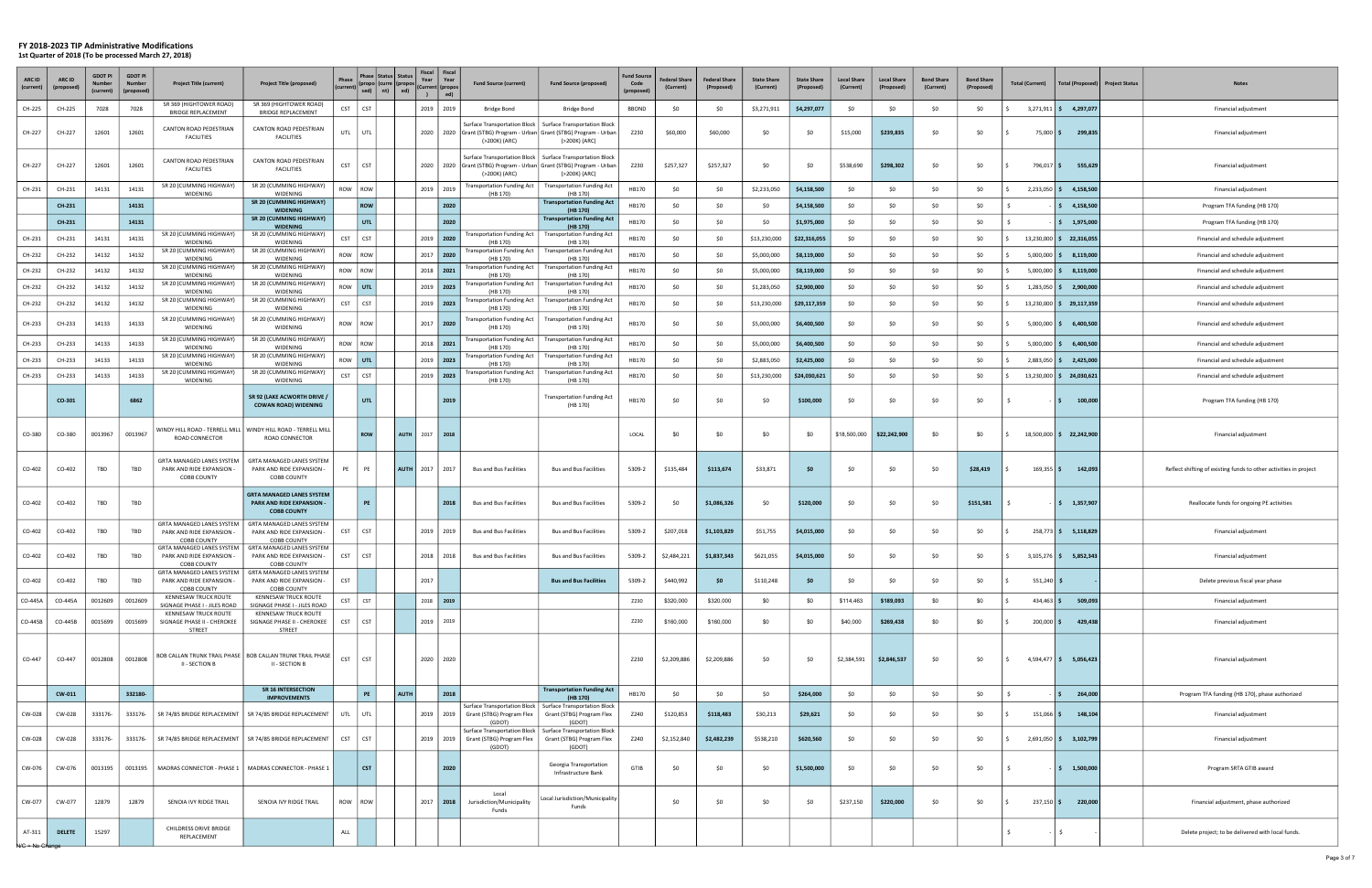| ARC ID<br>(current)    | ARC ID<br>(prop | <b>GDOT PI</b><br>(current) | <b>GDOT P</b><br>(propose | <b>Project Title (current)</b>                                               | <b>Project Title (proposed)</b>                                                     | Phase      | Phase I<br>(propo (curre<br>sed) | <b>Status</b><br><b>Status</b><br>(propos<br>nt)<br>ed) | Year<br>$\mathbf{r}$ | Fiscal Fiscal<br>Year<br>(Current   (propo:<br>ed) | <b>Fund Source (current)</b>                    | <b>Fund Source (proposed)</b>                                                                                                                  | <b>Fund Source</b><br>Code<br>(propose) | <b>Federal Share</b><br>(Current) | <b>Federal Share</b><br>(Proposed) | <b>State Share</b><br>(Current) | <b>State Share</b><br>(Proposed) | <b>Local Share</b><br>(Current) | <b>Local Share</b><br>(Proposed) | <b>Bond Share</b><br>(Current) | <b>Bond Share</b><br>(Proposed) | <b>Total (Current)</b> | <b>Total (Proposed</b>                   | <b>Project Status</b> | <b>Notes</b>                                                      |
|------------------------|-----------------|-----------------------------|---------------------------|------------------------------------------------------------------------------|-------------------------------------------------------------------------------------|------------|----------------------------------|---------------------------------------------------------|----------------------|----------------------------------------------------|-------------------------------------------------|------------------------------------------------------------------------------------------------------------------------------------------------|-----------------------------------------|-----------------------------------|------------------------------------|---------------------------------|----------------------------------|---------------------------------|----------------------------------|--------------------------------|---------------------------------|------------------------|------------------------------------------|-----------------------|-------------------------------------------------------------------|
| CH-225                 | CH-225          | 7028                        | 7028                      | SR 369 (HIGHTOWER ROAD)<br><b>BRIDGE REPLACEMENT</b>                         | SR 369 (HIGHTOWER ROAD)<br>BRIDGE REPLACEMENT                                       | <b>CST</b> | CST                              |                                                         | 2019                 | 2019                                               | Bridge Bond                                     | Bridge Bond                                                                                                                                    | <b>BBOND</b>                            | \$0                               | -SO                                | \$3,271,911                     | \$4,297,077                      | \$0                             | \$0                              | \$0                            | \$0                             | $3,271,911$ \$         | 4,297,077                                |                       | Financial adjustment                                              |
| CH-227                 | CH-227          | 12601                       | 12601                     | CANTON ROAD PEDESTRIAN<br><b>FACILITIES</b>                                  | CANTON ROAD PEDESTRIAN<br><b>FACILITIES</b>                                         |            | UTL UTL                          |                                                         | 2020                 |                                                    | (>200K) (ARC)                                   | Surface Transportation Block   Surface Transportation Block<br>2020 Grant (STBG) Program - Urban Grant (STBG) Program - Urban<br>(>200K) (ARC) | Z230                                    | \$60,000                          | \$60,000                           | \$0                             | \$0                              | \$15,000                        | \$239,835                        | \$0                            | \$0                             | 75,000 \$              | 299,835                                  |                       | Financial adjustment                                              |
| CH-227                 | CH-227          | 12601                       | 12601                     | CANTON ROAD PEDESTRIAN<br><b>FACILITIES</b>                                  | CANTON ROAD PEDESTRIAN<br><b>FACILITIES</b>                                         | <b>CST</b> | <b>CST</b>                       |                                                         | 2020                 |                                                    | Surface Transportation Block  <br>(>200K) (ARC) | <b>Surface Transportation Block</b><br>2020 Grant (STBG) Program - Urban Grant (STBG) Program - Urban<br>(>200K) (ARC)                         | Z230                                    | \$257,327                         | \$257,327                          | \$C                             | \$0                              | \$538,690                       | \$298,302                        | \$0                            | \$0                             | 796,017 \$             | 555,629                                  |                       | Financial adjustment                                              |
| CH-231                 | CH-231          | 14131                       | 14131                     | SR 20 (CUMMING HIGHWAY)<br>WIDENING                                          | SR 20 (CUMMING HIGHWAY)<br>WIDENING                                                 |            | ROW ROW                          |                                                         |                      | 2019 2019                                          | <b>Transportation Funding Act</b><br>(HB 170)   | Transportation Funding Act<br>(HB 170)                                                                                                         | HB170                                   | <b>SO</b>                         | SO.                                | \$2,233,050                     | \$4,158,500                      | \$0                             | SO.                              | \$0                            | \$0                             | $2,233,050$ \$         | 4,158,500                                |                       | Financial adjustment                                              |
|                        | CH-231          |                             | 14131                     |                                                                              | SR 20 (CUMMING HIGHWAY)<br><b>WIDENING</b>                                          |            | <b>ROW</b>                       |                                                         |                      | 2020                                               |                                                 | <b>Transportation Funding Act</b><br>(HB 170)                                                                                                  | HB170                                   | <b>SO</b>                         | \$0                                | \$0                             | \$4,158,500                      | \$0                             | - SO                             | \$0                            | \$0                             |                        | 4,158,500                                |                       | Program TFA funding (HB 170)                                      |
|                        | CH-231          |                             | 14131                     |                                                                              | SR 20 (CUMMING HIGHWAY)<br><b>WIDENING</b>                                          |            | <b>UTL</b>                       |                                                         |                      | 2020                                               |                                                 | <b>Transportation Funding Act</b><br>(HB 170)                                                                                                  | HB170                                   | \$0                               | \$0                                | <b>SO</b>                       | \$1,975,000                      | \$0                             | - SO                             | \$0                            | \$0                             |                        | 1,975,000                                |                       | Program TFA funding (HB 170)                                      |
| CH-231                 | CH-231          | 14131                       | 14131                     | SR 20 (CUMMING HIGHWAY)<br><b>WIDENING</b>                                   | SR 20 (CUMMING HIGHWAY)<br>WIDENING                                                 | <b>CST</b> | <b>CST</b>                       |                                                         |                      | 2019   2020                                        | Transportation Funding Act<br>(HB 170)          | <b>Transportation Funding Act</b><br>(HB 170)                                                                                                  | HB170                                   | <b>SO</b>                         | S0                                 | \$13,230,000                    | \$22,316,055                     | \$0                             | SO.                              | \$0                            | \$0                             |                        | $13,230,000 \mid \frac{1}{2}$ 22,316,055 |                       | Financial and schedule adjustment                                 |
| CH-232                 | CH-232          | 14132                       | 14132                     | SR 20 (CUMMING HIGHWAY)<br>WIDENING                                          | SR 20 (CUMMING HIGHWAY)<br>WIDENING                                                 |            | ROW ROW                          |                                                         |                      | 2017 2020                                          | <b>Fransportation Funding Act</b><br>(HB 170)   | <b>Transportation Funding Act</b><br>(HB 170)                                                                                                  | HB170                                   | \$0                               | S0                                 | \$5,000,000                     | \$8,119,000                      | \$0                             | \$0                              | \$0                            | \$0                             | $5,000,000$ \$         | 8,119,000                                |                       | Financial and schedule adjustment                                 |
| CH-232                 | CH-232          | 14132                       | 14132                     | SR 20 (CUMMING HIGHWAY)<br>WIDENING                                          | SR 20 (CUMMING HIGHWAY)<br>WIDENING                                                 |            | ROW ROW                          |                                                         |                      | 2018   2021                                        | Transportation Funding Act<br>(HB 170)          | <b>Transportation Funding Act</b><br>(HB 170)                                                                                                  | HB170                                   | <b>SO</b>                         |                                    | \$5,000,000                     | \$8,119,000                      | \$0                             |                                  | \$0                            | \$0                             | $5,000,000$ \$         | 8,119,000                                |                       | Financial and schedule adjustment                                 |
| CH-232                 | CH-232          | 14132                       | 14132                     | SR 20 (CUMMING HIGHWAY)<br>WIDENING                                          | SR 20 (CUMMING HIGHWAY)<br>WIDENING                                                 |            | ROW   UTL                        |                                                         |                      | $2019$ 2023                                        | <b>Fransportation Funding Act</b><br>(HB 170)   | <b>Transportation Funding Act</b><br>(HB 170)                                                                                                  | HB170                                   | <b>SO</b>                         | S0                                 | \$1,283,050                     | \$2,900,000                      | \$0                             | -SO                              | \$0                            | \$0                             | $1,283,050$ \$         | 2,900,000                                |                       | Financial and schedule adjustment                                 |
| CH-232                 | CH-232          | 14132                       | 14132                     | SR 20 (CUMMING HIGHWAY)<br>WIDENING                                          | SR 20 (CUMMING HIGHWAY)<br>WIDENING                                                 |            | CST CST                          |                                                         |                      | 2019   2023                                        | <b>Transportation Funding Act</b><br>(HB 170)   | <b>Transportation Funding Act</b><br>(HB 170)                                                                                                  | HB170                                   | \$0                               | S0                                 | \$13,230,000                    | \$29,117,359                     | \$0                             | - SO                             | \$0                            | \$0                             |                        | 13,230,000 \$ 29,117,359                 |                       | Financial and schedule adjustment                                 |
| CH-233                 | CH-233          | 14133                       | 14133                     | SR 20 (CUMMING HIGHWAY)<br>WIDENING                                          | SR 20 (CUMMING HIGHWAY)<br>WIDENING                                                 |            | ROW ROW                          |                                                         | 2017                 | 2020                                               | Transportation Funding Act<br>(HB 170)          | <b>Transportation Funding Act</b><br>(HB 170)                                                                                                  | HB170                                   | - \$0                             | S0                                 | \$5,000,000                     | \$6,400,500                      | \$0                             | -SO                              | \$0                            | \$0                             | $5,000,000$ \$         | 6,400,500                                |                       | Financial and schedule adjustment                                 |
| CH-233                 | CH-233          | 14133                       | 14133                     | SR 20 (CUMMING HIGHWAY)<br>WIDENING                                          | SR 20 (CUMMING HIGHWAY<br>WIDENING                                                  |            | ROW ROW                          |                                                         |                      | 2018   2021                                        | <b>Transportation Funding Act</b><br>(HB 170)   | <b>Transportation Funding Act</b><br>(HB 170)                                                                                                  | HB170                                   | \$0                               | \$0                                | \$5,000,000                     | \$6,400,500                      | \$0                             | \$0                              | \$0                            | \$0                             | $5,000,000$ \$         | 6,400,500                                |                       | Financial and schedule adjustment                                 |
| CH-233                 | CH-233          | 14133                       | 14133                     | SR 20 (CUMMING HIGHWAY)<br>WIDENING                                          | SR 20 (CUMMING HIGHWAY<br>WIDENING                                                  |            | ROW UTL                          |                                                         |                      | $2019$ 2023                                        | Fransportation Funding Act<br>(HB 170)          | <b>Transportation Funding Act</b><br>(HB 170)                                                                                                  | HB170                                   | \$0                               | S0                                 | \$2,883,050                     | \$2,425,000                      | \$0                             | - SO                             | \$0                            | \$0                             | $2,883,050$ \$         | 2,425,000                                |                       | Financial and schedule adjustment                                 |
| CH-233                 | CH-233          | 14133                       | 14133                     | SR 20 (CUMMING HIGHWAY)<br>WIDENING                                          | SR 20 (CUMMING HIGHWAY)<br>WIDENING                                                 |            | CST CST                          |                                                         |                      | 2019   2023                                        | <b>Fransportation Funding Act</b><br>(HB 170)   | <b>Transportation Funding Act</b><br>(HB 170)                                                                                                  | HB170                                   | \$0                               | S0                                 | \$13,230,000                    | \$24,030,621                     | \$0                             | \$0                              | \$0                            | \$0                             |                        | 13,230,000 \$ 24,030,621                 |                       | Financial and schedule adjustment                                 |
|                        | CO-301          |                             | 6862                      |                                                                              | SR 92 (LAKE ACWORTH DRIVE /<br><b>COWAN ROAD) WIDENING</b>                          |            | UTL                              |                                                         |                      | 2019                                               |                                                 | <b>Transportation Funding Act</b><br>(HB 170)                                                                                                  | HB170                                   | <b>SO</b>                         | \$0                                | \$0                             | \$100,000                        | \$0                             | \$0                              | \$0                            | \$0                             |                        | 100,000<br>l S                           |                       | Program TFA funding (HB 170)                                      |
| CO-380                 | CO-380          | 0013967                     | 0013967                   | VINDY HILL ROAD - TERRELL MILL  <br>ROAD CONNECTOR                           | WINDY HILL ROAD - TERRELL MILL<br>ROAD CONNECTOR                                    |            | <b>ROW</b>                       | <b>AUTH</b>                                             | 2017                 | 2018                                               |                                                 |                                                                                                                                                | LOCAL                                   |                                   | \$0                                | \$0                             | -\$0                             | \$18,500,000                    | \$22,242,900                     | \$0                            | \$0                             |                        | 18,500,000 \$ 22,242,900                 |                       | Financial adjustment                                              |
| CO-402                 | CO-402          | TBD                         | TBD                       | GRTA MANAGED LANES SYSTEM<br>PARK AND RIDE EXPANSION<br><b>COBB COUNTY</b>   | GRTA MANAGED LANES SYSTEM<br>PARK AND RIDE EXPANSION -<br><b>COBB COUNTY</b>        | PE         |                                  | <b>AUTH</b>                                             | 2017                 | 2017                                               | <b>Bus and Bus Facilities</b>                   | <b>Bus and Bus Facilities</b>                                                                                                                  | 5309-2                                  | \$135,484                         | \$113,674                          | \$33,871                        | \$0                              | \$0                             | \$0                              | \$0                            | \$28,419                        | $169,355$ \$           | 142,093                                  |                       | Reflect shifting of existing funds to other activities in project |
| CO-402                 | CO-402          | TBD                         | TBD                       |                                                                              | <b>GRTA MANAGED LANES SYSTEM</b><br>PARK AND RIDE EXPANSION -<br><b>COBB COUNTY</b> |            | PE                               |                                                         |                      | 2018                                               | <b>Bus and Bus Facilities</b>                   | <b>Bus and Bus Facilities</b>                                                                                                                  | 5309-2                                  | \$0                               | \$1,086,326                        | \$0                             | \$120,000                        | \$0                             | \$0                              | \$0                            | \$151,581                       |                        | $\frac{1}{2}$ 1,357,907                  |                       | Reallocate funds for ongoing PE activities                        |
| CO-402                 | CO-402          | TBD                         | TBD                       | GRTA MANAGED LANES SYSTEM<br>PARK AND RIDE EXPANSION -<br><b>COBB COUNTY</b> | GRTA MANAGED LANES SYSTEM<br>PARK AND RIDE EXPANSION -<br><b>COBB COUNTY</b>        |            | CST CST                          |                                                         | 2019                 | 2019                                               | <b>Bus and Bus Facilities</b>                   | <b>Bus and Bus Facilities</b>                                                                                                                  | 5309-2                                  | \$207,018                         | \$1,103,829                        | \$51,755                        | \$4,015,000                      | \$0                             | \$0                              | \$0                            | \$0                             |                        | 258,773 \$ 5,118,829                     |                       | Financial adjustment                                              |
| CO-402                 | CO-402          | TBD                         | TBD                       | GRTA MANAGED LANES SYSTEM<br>PARK AND RIDE EXPANSION -<br><b>COBB COUNTY</b> | GRTA MANAGED LANES SYSTEM<br>PARK AND RIDE EXPANSION -<br><b>COBB COUNTY</b>        |            | $CST$ $CST$                      |                                                         | 2018                 | 2018                                               | <b>Bus and Bus Facilities</b>                   | <b>Bus and Bus Facilities</b>                                                                                                                  | 5309-2                                  | \$2,484,221                       | \$1,837,343                        | \$621,055                       | \$4,015,000                      | \$0                             | SO.                              | \$0                            | \$0                             |                        | $3,105,276$ \$ 5,852,343                 |                       | Financial adjustment                                              |
| CO-402                 | CO-402          | TBD                         | TBD                       | GRTA MANAGED LANES SYSTEM<br>PARK AND RIDE EXPANSION -<br>COBB COUNTY        | GRTA MANAGED LANES SYSTEM<br>PARK AND RIDE EXPANSION -<br><b>COBB COUNTY</b>        | <b>CST</b> |                                  |                                                         | 2017                 |                                                    |                                                 | <b>Bus and Bus Facilities</b>                                                                                                                  | 5309-2                                  | \$440,992                         | \$0                                | \$110,248                       | \$0                              | \$0                             | \$0                              | \$0                            | \$0                             | $551,240$ \$<br>IS.    |                                          |                       | Delete previous fiscal year phase                                 |
| CO-445A                | CO-445A         | 0012609                     | 0012609                   | KENNESAW TRUCK ROUTE<br>IGNAGE PHASE I - JILES ROAD                          | <b>KENNESAW TRUCK ROUTE</b><br>SIGNAGE PHASE I - JILES ROAD                         |            | CST CST                          |                                                         |                      | 2018 2019                                          |                                                 |                                                                                                                                                | Z230                                    | \$320,000                         | \$320,000                          | \$0                             | \$0                              | \$114,463                       | \$189,093                        | \$0                            | \$0                             | $434,463$ \$           | 509,093                                  |                       | Financial adjustment                                              |
| CO-445B                | CO-445B         | 0015699                     | 0015699                   | KENNESAW TRUCK ROUTE<br>SIGNAGE PHASE II - CHEROKEE<br>STREET                | KENNESAW TRUCK ROUTE<br>SIGNAGE PHASE II - CHEROKEE<br>STREET                       |            | CST CST                          |                                                         |                      | 2019 2019                                          |                                                 |                                                                                                                                                | Z230                                    | \$160,000                         | \$160,000                          | \$0                             | \$0                              | \$40,000                        | \$269,438                        | \$0                            | \$0                             | $200,000$ \$           | 429,438                                  |                       | Financial adjustment                                              |
| CO-447                 | CO-447          | 0012808                     | 0012808                   | II - SECTION B                                                               | BOB CALLAN TRUNK TRAIL PHASE   BOB CALLAN TRUNK TRAIL PHASE<br>II - SECTION B       | <b>CST</b> | CST                              |                                                         |                      | 2020 2020                                          |                                                 |                                                                                                                                                | Z230                                    | \$2,209,886                       | \$2,209,886                        | \$0                             | \$0                              | \$2,384,591                     | \$2,846,537                      | \$0                            | \$0                             | IS.                    | $4,594,477$ \$ 5,056,423                 |                       | Financial adjustment                                              |
|                        | CW-011          |                             | 332180-                   |                                                                              | <b>SR 16 INTERSECTION</b><br><b>IMPROVEMENTS</b>                                    |            | PE                               | <b>AUTH</b>                                             |                      | 2018                                               |                                                 | <b>Transportation Funding Act</b><br>(HB 170)                                                                                                  | <b>HB170</b>                            | \$0                               | \$0                                | \$0                             | \$264,000                        | \$0                             | \$0                              | \$0                            | \$0                             |                        | 264,000                                  |                       | Program TFA funding (HB 170), phase authorized                    |
| CW-028                 | CW-028          | 333176-                     | 333176-                   | SR 74/85 BRIDGE REPLACEMENT                                                  | SR 74/85 BRIDGE REPLACEMENT                                                         |            | UTL UTL                          |                                                         |                      | 2019   2019                                        | Grant (STBG) Program Flex<br>(GDOT)             | Surface Transportation Block   Surface Transportation Block<br>Grant (STBG) Program Flex<br>(GDOT)                                             | Z240                                    | \$120,853                         | \$118,483                          | \$30,213                        | \$29,621                         | \$0                             | \$0                              | \$0                            | \$0                             | $151,066$ \$           | 148,104                                  |                       | Financial adjustment                                              |
| CW-028                 | CW-028          | 333176-                     | 333176-                   | SR 74/85 BRIDGE REPLACEMENT                                                  | SR 74/85 BRIDGE REPLACEMENT                                                         |            | CST CST                          |                                                         |                      | 2019   2019                                        | Grant (STBG) Program Flex<br>(GDOT)             | Surface Transportation Block   Surface Transportation Block<br>Grant (STBG) Program Flex<br>(GDOT)                                             | Z240                                    | \$2,152,840                       | \$2,482,239                        | \$538,210                       | \$620,560                        | \$0                             | \$0                              | \$0                            | \$0                             |                        | $2,691,050$ \$ 3,102,799                 |                       | Financial adjustment                                              |
| CW-076                 | CW-076          | 0013195                     | 0013195                   | MADRAS CONNECTOR - PHASE 1                                                   | MADRAS CONNECTOR - PHASE 1                                                          |            | <b>CST</b>                       |                                                         |                      | 2020                                               |                                                 | Georgia Transportation<br>Infrastructure Bank                                                                                                  | GTIB                                    | \$0                               | \$0                                | \$0                             | \$1,500,000                      | \$0                             | \$0                              | \$0                            | \$0                             | S.                     | $\frac{1}{2}$ ,500,000                   |                       | Program SRTA GTIB award                                           |
| CW-077                 | CW-077          | 12879                       | 12879                     | SENOIA IVY RIDGE TRAIL                                                       | SENOIA IVY RIDGE TRAIL                                                              |            | ROW ROW                          |                                                         |                      | 2017   2018                                        | Local<br>Jurisdiction/Municipality<br>Funds     | ocal Jurisdiction/Municipality<br>Funds                                                                                                        |                                         | \$0                               | \$0                                | \$0                             | \$0                              | \$237,150                       | \$220,000                        | \$0                            | \$0                             | $237,150$ \$           | 220,000                                  |                       | Financial adjustment, phase authorized                            |
| AT-311<br>N/C = No Cha | <b>DELETE</b>   | 15297                       |                           | CHILDRESS DRIVE BRIDGE<br>REPLACEMENT                                        |                                                                                     | ALL        |                                  |                                                         |                      |                                                    |                                                 |                                                                                                                                                |                                         |                                   |                                    |                                 |                                  |                                 |                                  |                                |                                 | Ŝ.                     | S.                                       |                       | Delete project; to be delivered with local funds.                 |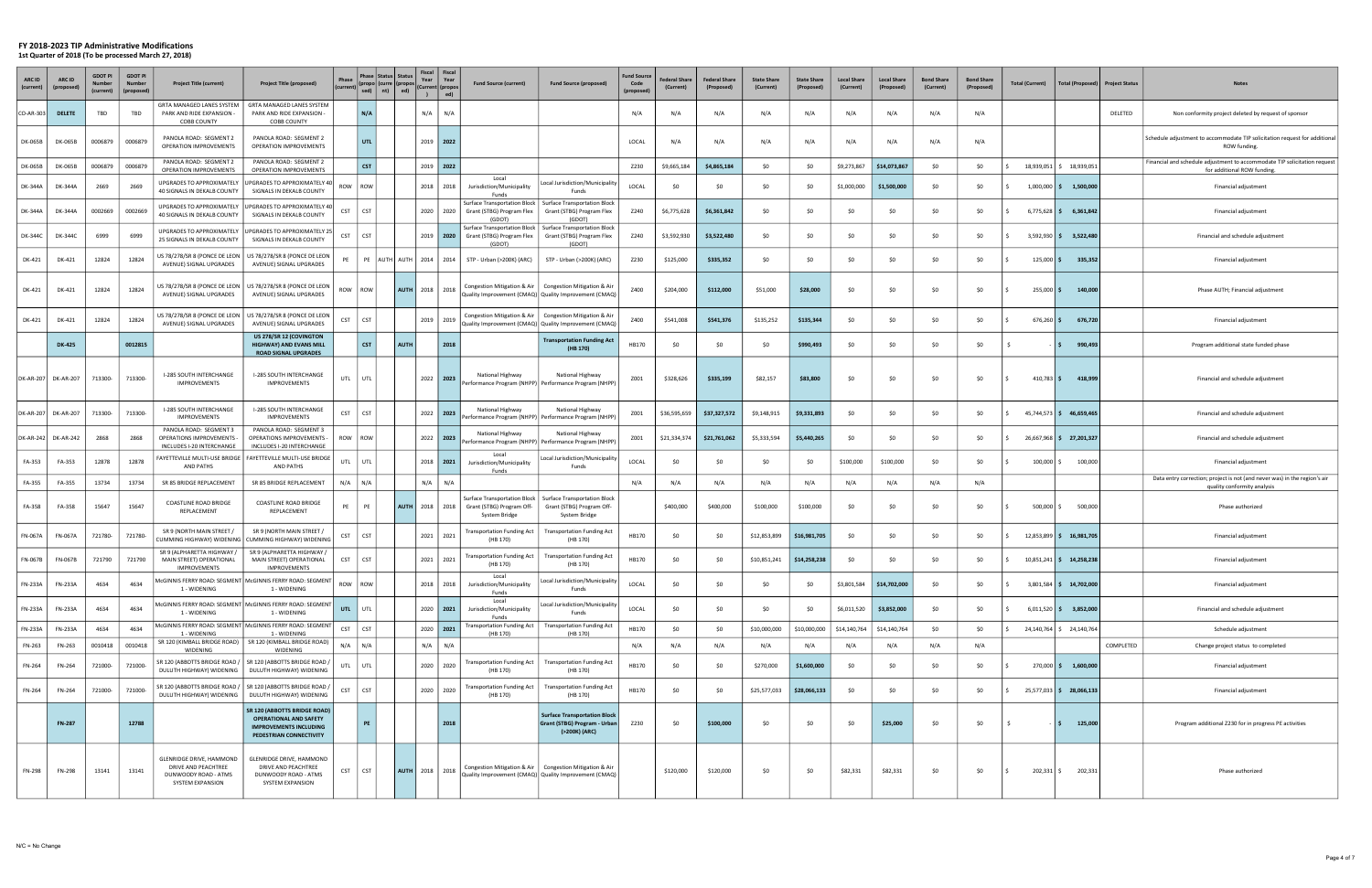#### FY 2018-2023 TIP Administrative Modifications

1st Quarter of 2018 (To be processed March 27, 2018)

| <b>ARC ID</b><br>(current) | ARC ID              | <b>GDOT PI</b><br>(current) | <b>GDOT PI</b><br><b>Numbe</b><br>(proposed) | <b>Project Title (current)</b>                                                                     | <b>Project Title (proposed)</b>                                                                                                  | Phase      | Phase   Status   Status<br><b>Curre</b><br>sed) $\left $ nt) $\right $ | ed)         | Fiscal<br>Year<br>(Current   (propo<br>$\mathbf{r}$ | Fiscal<br>Year<br>ed) | <b>Fund Source (current)</b>                                                      | <b>Fund Source (proposed)</b>                                                                                        | <b>Fund Sourc</b><br>Code<br>(proposed | Federal Share<br>(Current) | <b>Federal Share</b><br>(Proposed) | <b>State Share</b><br>(Current) | <b>State Share</b><br>(Proposed) | <b>Local Share</b><br>(Current) | <b>Local Share</b><br>(Proposed) | <b>Bond Share</b><br>(Current) | <b>Bond Share</b><br>(Proposed) | <b>Total (Current)</b> | Total (Proposed)         | <b>Project Status</b> | <b>Notes</b>                                                                                             |
|----------------------------|---------------------|-----------------------------|----------------------------------------------|----------------------------------------------------------------------------------------------------|----------------------------------------------------------------------------------------------------------------------------------|------------|------------------------------------------------------------------------|-------------|-----------------------------------------------------|-----------------------|-----------------------------------------------------------------------------------|----------------------------------------------------------------------------------------------------------------------|----------------------------------------|----------------------------|------------------------------------|---------------------------------|----------------------------------|---------------------------------|----------------------------------|--------------------------------|---------------------------------|------------------------|--------------------------|-----------------------|----------------------------------------------------------------------------------------------------------|
| $CO-AR-303$                | <b>DELETE</b>       | TBD                         | TBD                                          | <b>GRTA MANAGED LANES SYSTEM</b><br>PARK AND RIDE EXPANSION<br><b>COBB COUNTY</b>                  | GRTA MANAGED LANES SYSTEM<br>PARK AND RIDE EXPANSION<br><b>COBB COUNTY</b>                                                       |            | N/A                                                                    |             | N/A                                                 | N/A                   |                                                                                   |                                                                                                                      | N/A                                    | N/A                        | N/f                                | N/A                             | N/A                              | N/A                             | N/A                              | N/A                            | N/A                             |                        |                          | DELETED               | Non conformity project deleted by request of sponsor                                                     |
| DK-065B                    | DK-065B             | 0006879                     | 0006879                                      | PANOLA ROAD: SEGMENT 2<br>OPERATION IMPROVEMENTS                                                   | PANOLA ROAD: SEGMENT 2<br>OPERATION IMPROVEMENTS                                                                                 |            | <b>UTL</b>                                                             |             | 2019   2022                                         |                       |                                                                                   |                                                                                                                      | LOCAL                                  | N/A                        | N/A                                | N/A                             | N/A                              | N/A                             | N/A                              | N/A                            | N/A                             |                        |                          |                       | Schedule adjustment to accommodate TIP solicitation request for additional<br>ROW funding.               |
| DK-065B                    | DK-065B             | 0006879                     | 0006879                                      | PANOLA ROAD: SEGMENT 2<br>OPERATION IMPROVEMENTS                                                   | PANOLA ROAD: SEGMENT 2<br>OPERATION IMPROVEMENTS                                                                                 |            | <b>CST</b>                                                             |             | 2019   2022                                         |                       |                                                                                   |                                                                                                                      | Z230                                   | \$9,665,184                | \$4,865,184                        | \$0                             | \$0                              | \$9,273,867                     | \$14,073,867                     | \$0                            | \$0                             |                        | 18,939,051 \$ 18,939,051 |                       | Financial and schedule adjustment to accommodate TIP solicitation request<br>for additional ROW funding  |
| DK-344A                    | <b>DK-344A</b>      | 2669                        | 2669                                         | UPGRADES TO APPROXIMATELY<br>40 SIGNALS IN DEKALB COUNTY                                           | JPGRADES TO APPROXIMATELY 40<br>SIGNALS IN DEKALB COUNTY                                                                         | ROW        | ROW                                                                    |             | 2018                                                | 2018                  | Local<br>Jurisdiction/Municipality<br>Funds                                       | Local Jurisdiction/Municipality<br>Funds                                                                             | LOCAL                                  | \$0                        | SO.                                | \$0                             | \$0                              | \$1,000,000                     | \$1,500,000                      | \$0                            | \$0                             |                        | $1,000,000$ \$ 1,500,000 |                       | Financial adjustment                                                                                     |
| <b>DK-344A</b>             | DK-344A             | 0002669                     | 0002669                                      | UPGRADES TO APPROXIMATELY<br>40 SIGNALS IN DEKALB COUNTY                                           | UPGRADES TO APPROXIMATELY 40<br>SIGNALS IN DEKALB COUNTY                                                                         | <b>CST</b> | <b>CST</b>                                                             |             | 2020                                                | 2020                  | Surface Transportation Block  <br>Grant (STBG) Program Flex<br>(GDOT)             | Surface Transportation Block<br>Grant (STBG) Program Flex<br><b>(GDOT</b>                                            | Z240                                   | \$6,775,628                | \$6,361,842                        | \$0                             | \$0                              | \$0                             |                                  | \$0                            | \$0                             | $6,775,628$ \$         | 6,361,842                |                       | Financial adjustment                                                                                     |
| DK-344C                    | DK-3440             | 6999                        | 6999                                         | UPGRADES TO APPROXIMATELY<br>25 SIGNALS IN DEKALB COUNTY                                           | UPGRADES TO APPROXIMATELY 25<br>SIGNALS IN DEKALB COUNTY                                                                         | <b>CST</b> | <b>CST</b>                                                             |             |                                                     |                       | Surface Transportation Block<br>2019   2020   Grant (STBG) Program Flex<br>(GDOT) | Surface Transportation Block<br>Grant (STBG) Program Flex<br>(GDOT)                                                  | Z240                                   | \$3,592,930                | \$3,522,480                        | \$0                             | \$0                              | \$0                             | -SO                              | \$0                            | \$0                             |                        | $3,592,930$ \$ 3,522,480 |                       | Financial and schedule adjustment                                                                        |
| DK-421                     | DK-421              | 12824                       | 12824                                        | US 78/278/SR 8 (PONCE DE LEON<br>AVENUE) SIGNAL UPGRADES                                           | JS 78/278/SR 8 (PONCE DE LEON<br>AVENUE) SIGNAL UPGRADES                                                                         | PE         | PE                                                                     | AUTH   AUTH | 2014 2014                                           |                       | STP - Urban (>200K) (ARC)                                                         | STP - Urban (>200K) (ARC)                                                                                            | Z230                                   | \$125,000                  | \$335,352                          | \$0                             | \$0                              | \$0                             | -SO                              | \$0                            | \$0                             | $125,000$ \$           | 335,352                  |                       | Financial adjustment                                                                                     |
| DK-421                     | DK-421              | 12824                       | 12824                                        | US 78/278/SR 8 (PONCE DE LEON  <br>AVENUE) SIGNAL UPGRADES                                         | US 78/278/SR 8 (PONCE DE LEON<br>AVENUE) SIGNAL UPGRADES                                                                         | ROW   ROW  |                                                                        |             | AUTH 2018 2018                                      |                       |                                                                                   | Congestion Mitigation & Air   Congestion Mitigation & Air<br>Quality Improvement (CMAQ) Quality Improvement (CMAQ)   | Z400                                   | \$204,000                  | \$112,000                          | \$51,000                        | \$28,000                         | \$0                             | \$0                              | \$0                            | \$0                             | $255,000$ \$           | 140,000                  |                       | Phase AUTH; Financial adjustment                                                                         |
| DK-421                     | DK-421              | 12824                       | 12824                                        | US 78/278/SR 8 (PONCE DE LEON<br>AVENUE) SIGNAL UPGRADES                                           | US 78/278/SR 8 (PONCE DE LEON<br>AVENUE) SIGNAL UPGRADES                                                                         | CST        | <b>CST</b>                                                             |             | 2019                                                | 2019                  | Congestion Mitigation & Air                                                       | Congestion Mitigation & Air<br>Quality Improvement (CMAQ)   Quality Improvement (CMAQ)                               | Z400                                   | \$541,008                  | \$541,376                          | \$135,252                       | \$135,344                        | \$0                             | <b>SO</b>                        | \$0                            | \$0                             | $676,260$ \$           | 676,720                  |                       | Financial adjustment                                                                                     |
|                            | <b>DK-425</b>       |                             | 0012815                                      |                                                                                                    | US 278/SR 12 (COVINGTON<br><b>HIGHWAY) AND EVANS MILL</b><br><b>ROAD SIGNAL UPGRADES</b>                                         |            | <b>CST</b>                                                             | <b>AUTH</b> |                                                     | 2018                  |                                                                                   | <b>Transportation Funding Act</b><br>(HB 170)                                                                        | HB170                                  | \$0                        | SO.                                | \$0                             | \$990,493                        | \$0                             | <b>SO</b>                        | \$0                            | \$0                             |                        | 990,493<br>IS.           |                       | Program additional state funded phase                                                                    |
|                            | DK-AR-207 DK-AR-207 | 713300-                     | 713300-                                      | I-285 SOUTH INTERCHANGE<br><b>IMPROVEMENTS</b>                                                     | <b>I-285 SOUTH INTERCHANGE</b><br>IMPROVEMENTS                                                                                   | UTL        | UTL                                                                    |             | 2022 2023                                           |                       | National Highway<br>Performance Program (NHPP) Performance Program (NHPP          | National Highway                                                                                                     | Z001                                   | \$328,626                  | \$335,199                          | \$82,157                        | \$83,800                         | \$0                             | <b>SO</b>                        | \$0                            | \$0                             | $410,783$ \$           | 418,999                  |                       | Financial and schedule adjustment                                                                        |
|                            | DK-AR-207 DK-AR-207 | 713300-                     | 713300-                                      | I-285 SOUTH INTERCHANGE<br><b>IMPROVEMENTS</b>                                                     | <b>I-285 SOUTH INTERCHANGE</b><br><b>IMPROVEMENTS</b>                                                                            | <b>CST</b> | <b>CST</b>                                                             |             | 2022 2023                                           |                       | National Highway                                                                  | National Highway<br>Performance Program (NHPP)   Performance Program (NHPP                                           | Z001                                   | \$36,595,659               | \$37,327,572                       | \$9,148,915                     | \$9,331,893                      | \$0                             | <b>SO</b>                        | \$0                            | \$0                             |                        | 45,744,573 \$46,659,465  |                       | Financial and schedule adjustment                                                                        |
| DK-AR-242 DK-AR-242        |                     | 2868                        | 2868                                         | PANOLA ROAD: SEGMENT 3<br><b>OPERATIONS IMPROVEMENTS -</b><br>INCLUDES I-20 INTERCHANGE            | PANOLA ROAD: SEGMENT 3<br><b>OPERATIONS IMPROVEMENTS -</b><br>INCLUDES I-20 INTERCHANGE                                          | ROW        | ROW                                                                    |             | $2022$   2023                                       |                       | National Highway<br>Performance Program (NHPP)                                    | National Highway<br>Performance Program (NHPP)                                                                       | Z001                                   | \$21,334,374               | \$21,761,062                       | \$5,333,594                     | \$5,440,265                      | \$0                             | <b>SO</b>                        | \$0                            | \$0                             |                        | 26,667,968 \$ 27,201,327 |                       | Financial and schedule adjustment                                                                        |
| FA-353                     | FA-353              | 12878                       | 12878                                        | AND PATHS                                                                                          | FAYETTEVILLE MULTI-USE BRIDGE   FAYETTEVILLE MULTI-USE BRIDGE<br>AND PATHS                                                       | UTL        | UTL                                                                    |             | 2018   2021                                         |                       | Local<br>Jurisdiction/Municipality<br>Funds                                       | Local Jurisdiction/Municipality<br>Funds                                                                             | LOCAL                                  | - \$0                      | -SO                                | \$0                             | \$0                              | \$100,000                       | \$100,000                        | \$0                            | \$0                             | $100,000$ $\mid$ \$    | 100,000                  |                       | Financial adjustment                                                                                     |
| FA-355                     | FA-355              | 13734                       | 13734                                        | SR 85 BRIDGE REPLACEMENT                                                                           | SR 85 BRIDGE REPLACEMENT                                                                                                         | N/A        | N/A                                                                    |             | N/A                                                 | N/A                   |                                                                                   |                                                                                                                      | N/A                                    | N/A                        | N/A                                | N/A                             | N/A                              | N/A                             | N/A                              | N/A                            | N/A                             |                        |                          |                       | Data entry correction; project is not (and never was) in the region's air<br>quality conformity analysis |
| FA-358                     | FA-358              | 15647                       | 15647                                        | COASTLINE ROAD BRIDGE<br>REPLACEMENT                                                               | <b>COASTLINE ROAD BRIDGE</b><br>REPLACEMENT                                                                                      | PE         | PE                                                                     | <b>AUTH</b> | 2018                                                | 2018                  | Surface Transportation Block<br>Grant (STBG) Program Off-<br>System Bridge        | <b>Surface Transportation Block</b><br>Grant (STBG) Program Off-<br>System Bridge                                    |                                        | \$400,000                  | \$400,000                          | \$100,000                       | \$100,000                        | \$0                             | <b>SO</b>                        | \$0                            | \$0                             | $500,000$ \$           | 500,000                  |                       | Phase authorized                                                                                         |
| <b>FN-067A</b>             | <b>FN-067A</b>      | 721780-                     | 721780                                       | SR 9 (NORTH MAIN STREET /<br>CUMMING HIGHWAY) WIDENING                                             | SR 9 (NORTH MAIN STREET /<br>UMMING HIGHWAY) WIDENING                                                                            | CST        | <b>CST</b>                                                             |             | 2021                                                | 2021                  | Transportation Funding Act<br>(HB 170)                                            | <b>Transportation Funding Act</b><br>(HB 170)                                                                        | HB170                                  | \$0                        | SO.                                | \$12,853,899                    | \$16,981,705                     | \$0                             | <b>SO</b>                        | \$0                            | \$0                             |                        | 12,853,899 \$ 16,981,705 |                       | Financial adjustment                                                                                     |
| <b>FN-067B</b>             | FN-067B             | 721790                      | 721790                                       | SR 9 (ALPHARETTA HIGHWAY /<br>MAIN STREET) OPERATIONAL<br>IMPROVEMENTS                             | SR 9 (ALPHARETTA HIGHWAY /<br>MAIN STREET) OPERATIONAL<br><b>IMPROVEMENT</b>                                                     | <b>CST</b> | <b>CST</b>                                                             |             | 2021                                                | 2021                  | <b>Transportation Funding Act</b><br>(HB 170)                                     | <b>Transportation Funding Act</b><br>(HB 170)                                                                        | HB170                                  | \$0                        | <b>SO</b>                          | \$10,851,241                    | \$14,258,238                     | \$0                             | <b>SO</b>                        | \$0                            | \$0                             |                        | 10,851,241 \$ 14,258,238 |                       | Financial adjustment                                                                                     |
| FN-233A                    | <b>FN-233A</b>      | 4634                        | 4634                                         | 1 - WIDENING                                                                                       | McGINNIS FERRY ROAD: SEGMENT   McGINNIS FERRY ROAD: SEGMENT<br>1 - WIDENING                                                      | ROW        | ROW                                                                    |             | 2018                                                | 2018                  | Local<br>Jurisdiction/Municipality<br>Funds                                       | Local Jurisdiction/Municipality<br>Funds                                                                             | LOCAL                                  | \$0                        | \$0                                | \$0                             | \$0                              | \$3,801,584                     | \$14,702,000                     | \$0                            | \$0                             |                        | 3,801,584 \$ 14,702,000  |                       | Financial adjustment                                                                                     |
| FN-233A                    | FN-233A             | 4634                        | 4634                                         | 1 - WIDENING                                                                                       | McGINNIS FERRY ROAD: SEGMENT MCGINNIS FERRY ROAD: SEGMENT<br>1 - WIDENING                                                        | UTL        | UTL                                                                    |             | 2020 2021                                           |                       | Local<br>Jurisdiction/Municipality<br>Funds                                       | Local Jurisdiction/Municipality<br>Funds                                                                             | LOCAL                                  | \$0                        | \$0                                | \$0                             | \$0                              | \$6,011,520                     | \$3,852,000                      | \$0                            | \$0                             |                        | $6,011,520$ \$ 3,852,000 |                       | Financial and schedule adjustment                                                                        |
| FN-233A                    | <b>FN-233A</b>      | 4634                        | 4634                                         | 1 - WIDENING                                                                                       | McGINNIS FERRY ROAD: SEGMENT McGINNIS FERRY ROAD: SEGMENT<br>1 - WIDENING                                                        | <b>CST</b> | <b>CST</b>                                                             |             | 2020 2021                                           |                       | Transportation Funding Act<br>(HB 170)                                            | <b>Transportation Funding Act</b><br>(HB 170)                                                                        | HB170                                  | \$0                        | SO.                                | \$10,000,000                    | \$10,000,000                     | \$14,140,764                    | \$14,140,764                     | \$0                            | \$0                             |                        | 24,140,764 \$24,140,764  |                       | Schedule adjustment                                                                                      |
| FN-263                     | FN-263              | 0010418                     | 0010418                                      | SR 120 (KIMBALL BRIDGE ROAD)  <br>WIDENING                                                         | SR 120 (KIMBALL BRIDGE ROAD)<br>WIDENING                                                                                         | N/A        | N/A                                                                    |             | N/A                                                 | N/A                   |                                                                                   |                                                                                                                      | N/A                                    | N/A                        | N/A                                | N/A                             | N/A                              | N/A                             | N/A                              | N/A                            | N/A                             |                        |                          | COMPLETED             | Change project status to completed                                                                       |
| FN-264                     | FN-264              | 721000-                     | 721000-                                      | SR 120 (ABBOTTS BRIDGE ROAD /<br>DULUTH HIGHWAY) WIDENING                                          | SR 120 (ABBOTTS BRIDGE ROAD /<br>DULUTH HIGHWAY) WIDENING                                                                        | UTL        | UTL                                                                    |             | 2020                                                | 2020                  | <b>Transportation Funding Act</b><br>(HB 170)                                     | <b>Transportation Funding Act</b><br>(HB 170)                                                                        | HB170                                  | \$0                        | SO.                                | \$270,000                       | \$1,600,000                      | \$0                             | -SO                              | \$0                            | \$0                             |                        | 270,000 \$ 1,600,000     |                       | Financial adjustment                                                                                     |
| FN-264                     | FN-264              | 721000-                     | 721000-                                      | SR 120 (ABBOTTS BRIDGE ROAD /<br>DULUTH HIGHWAY) WIDENING                                          | SR 120 (ABBOTTS BRIDGE ROAD /<br>DULUTH HIGHWAY) WIDENING                                                                        | <b>CST</b> | CST                                                                    |             | 2020                                                | 2020                  | <b>Transportation Funding Act</b><br>(HB 170)                                     | <b>Transportation Funding Act</b><br>(HB 170)                                                                        | HB170                                  | \$0                        | -SO                                | \$25,577,033                    | \$28,066,133                     | \$0                             | \$0                              | \$0                            | \$0                             |                        | 25,577,033 \$ 28,066,133 |                       | Financial adjustment                                                                                     |
|                            | <b>FN-287</b>       |                             | 12788                                        |                                                                                                    | <b>SR 120 (ABBOTTS BRIDGE ROAD)</b><br><b>OPERATIONAL AND SAFETY</b><br><b>IMPROVEMENTS INCLUDING</b><br>PEDESTRIAN CONNECTIVITY |            | PE                                                                     |             |                                                     | 2018                  |                                                                                   | <b>Surface Transportation Block</b><br>Grant (STBG) Program - Urban<br>(>200K) (ARC)                                 | Z230                                   | \$0                        | \$100,000                          | \$0                             | \$0                              | \$0                             | \$25,000                         | \$0                            | \$0                             |                        | 125,000<br>IS.           |                       | Program additional Z230 for in progress PE activities                                                    |
| FN-298                     | FN-298              | 13141                       | 13141                                        | <b>GLENRIDGE DRIVE, HAMMOND</b><br>DRIVE AND PEACHTREE<br>DUNWOODY ROAD - ATMS<br>SYSTEM EXPANSION | GLENRIDGE DRIVE, HAMMOND<br>DRIVE AND PEACHTREE<br>DUNWOODY ROAD - ATMS<br>SYSTEM EXPANSION                                      | <b>CST</b> | <b>CST</b>                                                             |             | AUTH 2018 2018                                      |                       |                                                                                   | Congestion Mitigation & Air   Congestion Mitigation & Air<br>Quality Improvement (CMAQ)   Quality Improvement (CMAQ) |                                        | \$120,000                  | \$120,000                          | \$0                             | \$0                              | \$82,331                        | \$82,331                         | \$0                            | \$0                             | 202,331 \$             | 202,331                  |                       | Phase authorized                                                                                         |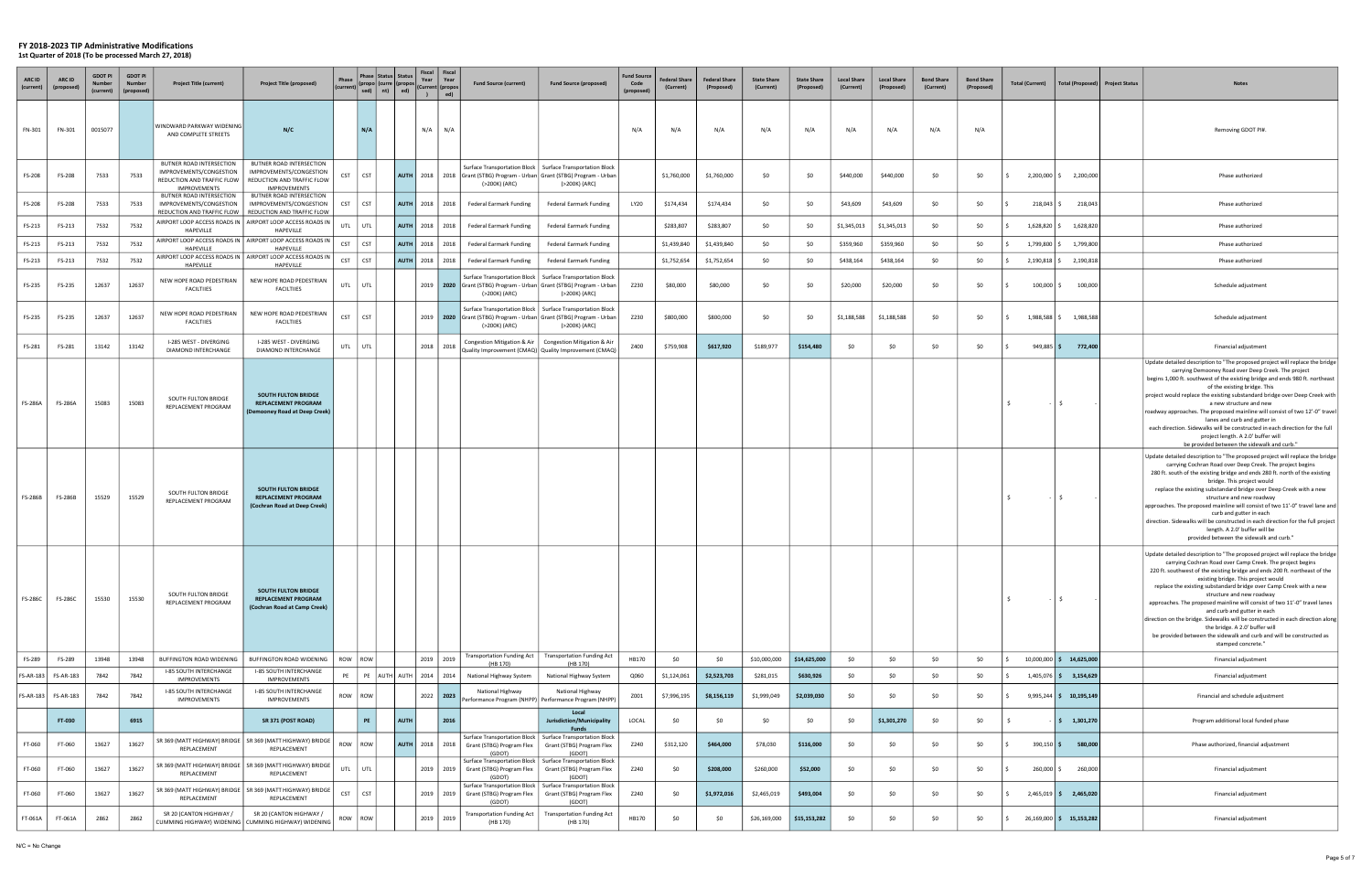| ARC ID<br>(current)       | ARC ID<br>(propo          | <b>GDOT PI</b><br>Numbe<br>(current) | <b>GDOT PI</b><br><b>Numbe</b><br>(proposec | <b>Project Title (current)</b>                                                                           | <b>Project Title (proposed)</b>                                                                                                                                                       | Phase      | <b>Status</b><br>'hase<br>(propo) (curre (propo:<br>nt)<br>sed) | Status<br>ed)      | Fiscal<br>Fiscal<br>Year<br>Year<br>(Current (propo<br>ed) | <b>Fund Source (current)</b>                                                                        | <b>Fund Source (proposed)</b>                                                                                        | <b>Fund Sourc</b><br>Code<br>(proposed) | <b>Federal Share</b><br>(Current) | <b>Federal Share</b><br>(Proposed) | <b>State Share</b><br>(Current) | <b>State Share</b><br>(Proposed) | <b>Local Share</b><br>(Current) | <b>Local Share</b><br>(Proposed) | <b>Bond Share</b><br>(Current) | <b>Bond Share</b><br>(Proposed) | <b>Total (Current)</b> | Total (Proposed)           | <b>Project Status</b><br><b>Notes</b>                                                                                                                                                                                                                                                                                                                                                                                                                                                                                                                                                                                                                                                                                                                                                                                                                                                                                                                                                                                                                                                                                                                                                                                                                                                                                                                                                                                                                                                                               |
|---------------------------|---------------------------|--------------------------------------|---------------------------------------------|----------------------------------------------------------------------------------------------------------|---------------------------------------------------------------------------------------------------------------------------------------------------------------------------------------|------------|-----------------------------------------------------------------|--------------------|------------------------------------------------------------|-----------------------------------------------------------------------------------------------------|----------------------------------------------------------------------------------------------------------------------|-----------------------------------------|-----------------------------------|------------------------------------|---------------------------------|----------------------------------|---------------------------------|----------------------------------|--------------------------------|---------------------------------|------------------------|----------------------------|---------------------------------------------------------------------------------------------------------------------------------------------------------------------------------------------------------------------------------------------------------------------------------------------------------------------------------------------------------------------------------------------------------------------------------------------------------------------------------------------------------------------------------------------------------------------------------------------------------------------------------------------------------------------------------------------------------------------------------------------------------------------------------------------------------------------------------------------------------------------------------------------------------------------------------------------------------------------------------------------------------------------------------------------------------------------------------------------------------------------------------------------------------------------------------------------------------------------------------------------------------------------------------------------------------------------------------------------------------------------------------------------------------------------------------------------------------------------------------------------------------------------|
| FN-301                    | FN-301                    | 0015077                              |                                             | WINDWARD PARKWAY WIDENING<br>AND COMPLETE STREETS                                                        | N/C                                                                                                                                                                                   |            | N/A                                                             |                    | N/A<br>N/A                                                 |                                                                                                     |                                                                                                                      | N/A                                     | N/A                               | N/A                                | N/A                             | N/A                              | N/A                             | N/A                              | N/A                            | N/A                             |                        |                            | Removing GDOT PI#.                                                                                                                                                                                                                                                                                                                                                                                                                                                                                                                                                                                                                                                                                                                                                                                                                                                                                                                                                                                                                                                                                                                                                                                                                                                                                                                                                                                                                                                                                                  |
| FS-208                    | FS-208                    | 7533                                 | 7533                                        | BUTNER ROAD INTERSECTION<br>IMPROVEMENTS/CONGESTION<br>REDUCTION AND TRAFFIC FLOW<br><b>IMPROVEMENTS</b> | BUTNER ROAD INTERSECTION<br>IMPROVEMENTS/CONGESTION<br>REDUCTION AND TRAFFIC FLOW<br><b>IMPROVEMENTS</b>                                                                              | <b>CST</b> | <b>CST</b>                                                      |                    |                                                            | AUTH   2018   2018   Grant (STBG) Program - Urban   Grant (STBG) Program - Urban  <br>(>200K) (ARC) | Surface Transportation Block   Surface Transportation Block<br>(>200K) (ARC)                                         |                                         | \$1,760,000                       | \$1,760,000                        | \$0                             | \$0                              | \$440,000                       | \$440,000                        | \$0                            | \$0                             |                        | 2,200,000 \$ 2,200,000     | Phase authorized                                                                                                                                                                                                                                                                                                                                                                                                                                                                                                                                                                                                                                                                                                                                                                                                                                                                                                                                                                                                                                                                                                                                                                                                                                                                                                                                                                                                                                                                                                    |
| FS-208                    | FS-208                    | 7533                                 | 7533                                        | BUTNER ROAD INTERSECTION<br>IMPROVEMENTS/CONGESTION                                                      | BUTNER ROAD INTERSECTION<br>IMPROVEMENTS/CONGESTION<br>REDUCTION AND TRAFFIC FLOW   REDUCTION AND TRAFFIC FLOW                                                                        | <b>CST</b> | <b>CST</b>                                                      |                    | AUTH 2018 2018                                             | Federal Earmark Funding                                                                             | Federal Earmark Funding                                                                                              | LY20                                    | \$174,434                         | \$174,434                          | \$0                             | \$0                              | \$43,609                        | \$43,609                         | \$0                            | \$0                             | 218,043 \$             | 218,043                    | Phase authorized                                                                                                                                                                                                                                                                                                                                                                                                                                                                                                                                                                                                                                                                                                                                                                                                                                                                                                                                                                                                                                                                                                                                                                                                                                                                                                                                                                                                                                                                                                    |
| FS-213                    | FS-213                    | 7532                                 | 7532                                        | HAPEVILLE                                                                                                | AIRPORT LOOP ACCESS ROADS IN   AIRPORT LOOP ACCESS ROADS IN<br>HAPEVILLE                                                                                                              | UTL        | UTL                                                             | <b>AUTH</b>   2018 | 2018                                                       | Federal Earmark Funding                                                                             | Federal Earmark Funding                                                                                              |                                         | \$283,807                         | \$283,807                          | \$0                             | \$0                              | \$1,345,013                     | \$1,345,013                      | \$0                            | \$0                             | 1,628,820 \$           | 1,628,820                  | Phase authorized                                                                                                                                                                                                                                                                                                                                                                                                                                                                                                                                                                                                                                                                                                                                                                                                                                                                                                                                                                                                                                                                                                                                                                                                                                                                                                                                                                                                                                                                                                    |
| FS-213                    | FS-213                    | 7532                                 | 7532                                        | HAPEVILLE                                                                                                | AIRPORT LOOP ACCESS ROADS IN   AIRPORT LOOP ACCESS ROADS IN<br>HAPEVILLE                                                                                                              | <b>CST</b> | <b>CST</b>                                                      | <b>AUTH</b>        | 2018 2018                                                  | <b>Federal Earmark Funding</b>                                                                      | <b>Federal Earmark Funding</b>                                                                                       |                                         | \$1,439,840                       | \$1,439,840                        | \$0                             | \$0                              | \$359,960                       | \$359,960                        | \$0                            | \$0                             | 1,799,800 \$           | 1,799,800                  | Phase authorized                                                                                                                                                                                                                                                                                                                                                                                                                                                                                                                                                                                                                                                                                                                                                                                                                                                                                                                                                                                                                                                                                                                                                                                                                                                                                                                                                                                                                                                                                                    |
| FS-213                    | FS-213                    | 7532                                 | 7532                                        | HAPEVILLE                                                                                                | AIRPORT LOOP ACCESS ROADS IN   AIRPORT LOOP ACCESS ROADS IN<br>HAPEVILLE                                                                                                              | <b>CST</b> | <b>CST</b>                                                      |                    | AUTH 2018 2018                                             | <b>Federal Earmark Funding</b>                                                                      | <b>Federal Earmark Funding</b>                                                                                       |                                         | \$1,752,654                       | \$1,752,654                        | \$0                             | \$0                              | \$438,164                       | \$438,164                        | \$0                            | \$0                             | 2,190,818 \$           | 2,190,818                  | Phase authorized                                                                                                                                                                                                                                                                                                                                                                                                                                                                                                                                                                                                                                                                                                                                                                                                                                                                                                                                                                                                                                                                                                                                                                                                                                                                                                                                                                                                                                                                                                    |
| FS-235                    | FS-235                    | 12637                                | 12637                                       | NEW HOPE ROAD PEDESTRIAN<br><b>FACILTIIES</b>                                                            | NEW HOPE ROAD PEDESTRIAN<br><b>FACILTIIES</b>                                                                                                                                         | UTL        | UTL                                                             |                    |                                                            | 2019   2020   Grant (STBG) Program - Urban   Grant (STBG) Program - Urban<br>(>200K) (ARC)          | Surface Transportation Block   Surface Transportation Block<br>(>200K) (ARC)                                         | Z230                                    | \$80,000                          | \$80,000                           | \$0                             | \$0                              | \$20,000                        | \$20,000                         | \$0                            | \$0                             | $100,000$ \$           | 100,000                    | Schedule adjustment                                                                                                                                                                                                                                                                                                                                                                                                                                                                                                                                                                                                                                                                                                                                                                                                                                                                                                                                                                                                                                                                                                                                                                                                                                                                                                                                                                                                                                                                                                 |
| FS-235                    | FS-235                    | 12637                                | 12637                                       | NEW HOPE ROAD PEDESTRIAN<br><b>FACILTIIES</b>                                                            | NEW HOPE ROAD PEDESTRIAN<br><b>FACILTIIES</b>                                                                                                                                         | <b>CST</b> | <b>CST</b>                                                      |                    |                                                            | 2019   2020   Grant (STBG) Program - Urban   Grant (STBG) Program - Urban  <br>(>200K) (ARC)        | Surface Transportation Block   Surface Transportation Block<br>(>200K) (ARC)                                         | Z230                                    | \$800,000                         | \$800,000                          | \$0                             | \$0                              | \$1,188,588                     | \$1,188,588                      | \$0                            | \$0                             |                        | 1,988,588   \$ 1,988,588   | Schedule adjustment                                                                                                                                                                                                                                                                                                                                                                                                                                                                                                                                                                                                                                                                                                                                                                                                                                                                                                                                                                                                                                                                                                                                                                                                                                                                                                                                                                                                                                                                                                 |
| FS-281                    | FS-281                    | 13142                                | 13142                                       | I-285 WEST - DIVERGING<br>DIAMOND INTERCHANGE                                                            | I-285 WEST - DIVERGING<br>DIAMOND INTERCHANGE                                                                                                                                         | UTL        | UTL                                                             |                    | 2018 2018                                                  |                                                                                                     | Congestion Mitigation & Air   Congestion Mitigation & Air<br>Quality Improvement (CMAQ)   Quality Improvement (CMAQ) | Z400                                    | \$759,908                         | \$617,920                          | \$189,977                       | \$154,480                        | \$0                             | - \$0                            | \$0                            | \$0                             | $949,885$ \$           | 772,400                    | Financial adjustment                                                                                                                                                                                                                                                                                                                                                                                                                                                                                                                                                                                                                                                                                                                                                                                                                                                                                                                                                                                                                                                                                                                                                                                                                                                                                                                                                                                                                                                                                                |
| FS-286A<br><b>FS-286B</b> | <b>FS-286A</b><br>FS-286B | 15083<br>15529                       | 15083<br>15529                              | SOUTH FULTON BRIDGE<br>REPLACEMENT PROGRAM<br>SOUTH FULTON BRIDGE<br>REPLACEMENT PROGRAM                 | <b>SOUTH FULTON BRIDGE</b><br><b>REPLACEMENT PROGRAM</b><br>(Demooney Road at Deep Creek)<br><b>SOUTH FULTON BRIDGE</b><br><b>REPLACEMENT PROGRAM</b><br>(Cochran Road at Deep Creek) |            |                                                                 |                    |                                                            |                                                                                                     |                                                                                                                      |                                         |                                   |                                    |                                 |                                  |                                 |                                  |                                |                                 | -Ś<br>- Ś              | : ا<br>$\vert$ \$          | Update detailed description to "The proposed project will replace the bridge<br>carrying Demooney Road over Deep Creek. The project<br>begins 1,000 ft. southwest of the existing bridge and ends 980 ft. northeast<br>of the existing bridge. This<br>project would replace the existing substandard bridge over Deep Creek with<br>a new structure and new<br>roadway approaches. The proposed mainline will consist of two 12'-0" travel<br>lanes and curb and gutter in<br>each direction. Sidewalks will be constructed in each direction for the full<br>project length. A 2.0' buffer will<br>be provided between the sidewalk and curb."<br>Update detailed description to "The proposed project will replace the bridge<br>carrying Cochran Road over Deep Creek. The project begins<br>280 ft. south of the existing bridge and ends 280 ft. north of the existing<br>bridge. This project would<br>replace the existing substandard bridge over Deep Creek with a new<br>structure and new roadway<br>approaches. The proposed mainline will consist of two 11'-0" travel lane and<br>curb and gutter in each<br>direction. Sidewalks will be constructed in each direction for the full project<br>length. A 2.0' buffer will be<br>provided between the sidewalk and curb."<br>Update detailed description to "The proposed project will replace the bridge<br>carrying Cochran Road over Camp Creek. The project begins<br>220 ft. southwest of the existing bridge and ends 200 ft. northeast of the |
| <b>FS-286C</b>            | <b>FS-286C</b>            | 15530                                | 15530                                       | SOUTH FULTON BRIDGE<br>REPLACEMENT PROGRAM                                                               | <b>SOUTH FULTON BRIDGE</b><br><b>REPLACEMENT PROGRAM</b><br>(Cochran Road at Camp Creek)                                                                                              |            |                                                                 |                    |                                                            |                                                                                                     |                                                                                                                      |                                         |                                   |                                    |                                 |                                  |                                 |                                  |                                |                                 |                        | $\cdot$   \$               | existing bridge. This project would<br>replace the existing substandard bridge over Camp Creek with a new<br>structure and new roadway<br>approaches. The proposed mainline will consist of two 11'-0" travel lanes<br>and curb and gutter in each<br>direction on the bridge. Sidewalks will be constructed in each direction along<br>the bridge. A 2.0' buffer will<br>be provided between the sidewalk and curb and will be constructed as<br>stamped concrete."                                                                                                                                                                                                                                                                                                                                                                                                                                                                                                                                                                                                                                                                                                                                                                                                                                                                                                                                                                                                                                                |
| FS-289                    | FS-289                    | 13948                                | 13948                                       | BUFFINGTON ROAD WIDENING<br><b>I-85 SOUTH INTERCHANGE</b>                                                | BUFFINGTON ROAD WIDENING<br><b>I-85 SOUTH INTERCHANGE</b>                                                                                                                             |            | ROW ROW                                                         |                    | 2019<br>2019                                               | Transportation Funding Act<br>(HB 170)                                                              | <b>Transportation Funding Act</b><br>(HB 170)                                                                        | HB170                                   | \$0                               | \$0                                | \$10,000,000                    | \$14,625,000                     | \$0                             | \$0                              | \$0                            | \$0                             |                        | $10,000,000$ \$ 14,625,000 | Financial adjustment                                                                                                                                                                                                                                                                                                                                                                                                                                                                                                                                                                                                                                                                                                                                                                                                                                                                                                                                                                                                                                                                                                                                                                                                                                                                                                                                                                                                                                                                                                |
| FS-AR-183                 | FS-AR-183                 | 7842                                 | 7842                                        | <b>IMPROVEMENTS</b>                                                                                      | <b>IMPROVEMENTS</b>                                                                                                                                                                   | PE         | PE                                                              | NUTH AUTH          | 2014<br>2014                                               | National Highway System                                                                             | National Highway System                                                                                              | Q060                                    | \$1,124,061                       | \$2,523,703                        | \$281,015                       | \$630,926                        | \$0                             | \$0                              | \$0                            | \$0                             | $1,405,076$ \$         | 3,154,629                  | Financial adjustment                                                                                                                                                                                                                                                                                                                                                                                                                                                                                                                                                                                                                                                                                                                                                                                                                                                                                                                                                                                                                                                                                                                                                                                                                                                                                                                                                                                                                                                                                                |
| FS-AR-183                 | FS-AR-183                 | 7842                                 | 7842                                        | I-85 SOUTH INTERCHANGE<br><b>IMPROVEMENTS</b>                                                            | I-85 SOUTH INTERCHANGE<br>IMPROVEMENTS                                                                                                                                                |            | ROW ROW                                                         |                    | $2022$ 2023                                                | National Highway                                                                                    | National Highway<br>Performance Program (NHPP) Performance Program (NHPP)<br>Local                                   | Z001                                    | \$7,996,195                       | \$8,156,119                        | \$1,999,049                     | \$2,039,030                      | \$0                             |                                  | \$0                            | \$0                             |                        | $9,995,244$ \$ 10,195,149  | Financial and schedule adjustment                                                                                                                                                                                                                                                                                                                                                                                                                                                                                                                                                                                                                                                                                                                                                                                                                                                                                                                                                                                                                                                                                                                                                                                                                                                                                                                                                                                                                                                                                   |
|                           | FT-030                    |                                      | 6915                                        |                                                                                                          | SR 371 (POST ROAD)                                                                                                                                                                    |            | PE                                                              | <b>AUTH</b>        | 2016                                                       |                                                                                                     | Jurisdiction/Municipality<br>Funds<br>Surface Transportation Block   Surface Transportation Block                    | LOCAL                                   | \$0                               | \$0                                | \$0                             | \$0                              | \$0                             | \$1,301,270                      | \$0                            | \$0                             |                        | $\frac{1}{2}$ , 1,301,270  | Program additional local funded phase                                                                                                                                                                                                                                                                                                                                                                                                                                                                                                                                                                                                                                                                                                                                                                                                                                                                                                                                                                                                                                                                                                                                                                                                                                                                                                                                                                                                                                                                               |
| FT-060                    | FT-060                    | 13627                                | 13627                                       | REPLACEMENT                                                                                              | SR 369 (MATT HIGHWAY) BRIDGE   SR 369 (MATT HIGHWAY) BRIDGE<br>REPLACEMENT                                                                                                            | ROW        | ROW                                                             | <b>AUTH</b>        | 2018<br>2018                                               | Grant (STBG) Program Flex<br>(GDOT)                                                                 | Grant (STBG) Program Flex<br>(GDOT)<br>Surface Transportation Block   Surface Transportation Block                   | Z240                                    | \$312,120                         | \$464,000                          | \$78,030                        | \$116,000                        | \$0                             | \$0                              | \$0                            | \$0                             | $390,150$ \$           | 580,000                    | Phase authorized, financial adjustment                                                                                                                                                                                                                                                                                                                                                                                                                                                                                                                                                                                                                                                                                                                                                                                                                                                                                                                                                                                                                                                                                                                                                                                                                                                                                                                                                                                                                                                                              |
| FT-060                    | FT-060                    | 13627                                | 13627                                       | REPLACEMENT                                                                                              | SR 369 (MATT HIGHWAY) BRIDGE   SR 369 (MATT HIGHWAY) BRIDGE<br>REPLACEMENT                                                                                                            | UTL        | UTL                                                             |                    | 2019<br>2019                                               | Grant (STBG) Program Flex<br>(GDOT)                                                                 | Grant (STBG) Program Flex<br>(GDOT)<br>Surface Transportation Block   Surface Transportation Block                   | Z240                                    | \$0                               | \$208,000                          | \$260,000                       | \$52,000                         | \$0                             | \$0                              | \$0                            | \$0                             | 260,000 \$             | 260,000                    | Financial adjustment                                                                                                                                                                                                                                                                                                                                                                                                                                                                                                                                                                                                                                                                                                                                                                                                                                                                                                                                                                                                                                                                                                                                                                                                                                                                                                                                                                                                                                                                                                |
| FT-060                    | FT-060                    | 13627                                | 13627                                       | REPLACEMENT                                                                                              | SR 369 (MATT HIGHWAY) BRIDGE   SR 369 (MATT HIGHWAY) BRIDGE<br>REPLACEMENT                                                                                                            | CST        | <b>CST</b>                                                      |                    | 2019<br>2019                                               | Grant (STBG) Program Flex<br>(GDOT)                                                                 | Grant (STBG) Program Flex<br>(GDOT)                                                                                  | Z240                                    | \$0                               | \$1,972,016                        | \$2,465,019                     | \$493,004                        | \$0                             | \$0                              | \$0                            | \$0                             |                        | $2,465,019$ \$ 2,465,020   | Financial adjustment                                                                                                                                                                                                                                                                                                                                                                                                                                                                                                                                                                                                                                                                                                                                                                                                                                                                                                                                                                                                                                                                                                                                                                                                                                                                                                                                                                                                                                                                                                |
| FT-061A                   | FT-061A                   | 2862                                 | 2862                                        | SR 20 (CANTON HIGHWAY /                                                                                  | SR 20 (CANTON HIGHWAY /<br>CUMMING HIGHWAY) WIDENING   CUMMING HIGHWAY) WIDENING                                                                                                      |            | ROW ROW                                                         |                    | 2019 2019                                                  | <b>Transportation Funding Act</b><br>(HB 170)                                                       | <b>Transportation Funding Act</b><br>(HB 170)                                                                        | HB170                                   | \$0                               | \$0                                | \$26,169,000                    | \$15,153,282                     | \$0                             | \$0                              | \$0                            | \$0                             |                        | 26,169,000 \$ 15,153,282   | Financial adjustment                                                                                                                                                                                                                                                                                                                                                                                                                                                                                                                                                                                                                                                                                                                                                                                                                                                                                                                                                                                                                                                                                                                                                                                                                                                                                                                                                                                                                                                                                                |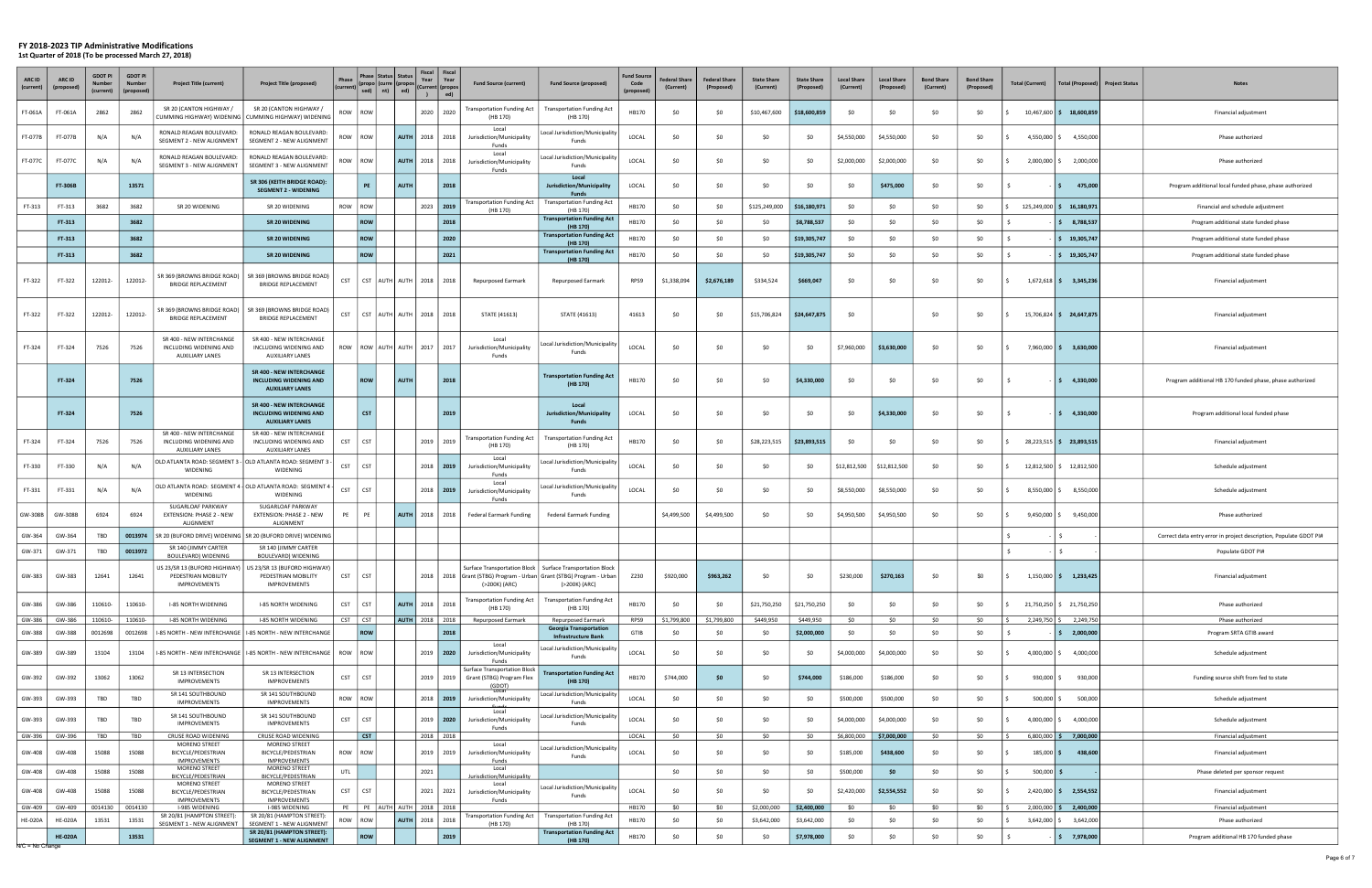| ARC ID<br>(current | ARC ID           | <b>GDOT PI</b><br>Numbe<br>(current) | <b>GDOT PI</b><br>Number<br>(proposed | <b>Project Title (current)</b>                                               | <b>Project Title (proposed)</b>                                                                         | Phase       |            | Phase   Status   Status  <br>$\begin{bmatrix} \text{p}_1 \text{base} \\ \text{(current)} \\ \text{sed} \end{bmatrix} \begin{bmatrix} \text{curve} \\ \text{n} \end{bmatrix} \begin{bmatrix} \text{propos} \\ \text{red} \end{bmatrix}$ | Year<br>$\lambda$ | Fiscal   Fiscal<br>Year<br>(Current   (propos<br>ed) | <b>Fund Source (current)</b>                                                        | <b>Fund Source (proposed)</b>                                                                                                                               | <b>Fund Sourc</b><br>Code<br>(propose | <b>Federal Share</b><br>(Current) | <b>Federal Share</b><br>(Proposed) | <b>State Share</b><br>(Current) | <b>State Share</b><br>(Proposed) | <b>Local Share</b><br>(Current) | <b>Local Share</b><br>(Proposed) | <b>Bond Share</b><br>(Current) | <b>Bond Share</b><br>(Proposed) | <b>Total (Current)</b> |                  | <b>Total (Proposed)</b>  | <b>Project Status</b><br><b>Notes</b>                              |
|--------------------|------------------|--------------------------------------|---------------------------------------|------------------------------------------------------------------------------|---------------------------------------------------------------------------------------------------------|-------------|------------|----------------------------------------------------------------------------------------------------------------------------------------------------------------------------------------------------------------------------------------|-------------------|------------------------------------------------------|-------------------------------------------------------------------------------------|-------------------------------------------------------------------------------------------------------------------------------------------------------------|---------------------------------------|-----------------------------------|------------------------------------|---------------------------------|----------------------------------|---------------------------------|----------------------------------|--------------------------------|---------------------------------|------------------------|------------------|--------------------------|--------------------------------------------------------------------|
| FT-061A            | FT-061A          | 2862                                 | 2862                                  | SR 20 (CANTON HIGHWAY /<br>UMMING HIGHWAY) WIDENING                          | SR 20 (CANTON HIGHWAY /<br>CUMMING HIGHWAY) WIDENING                                                    | ROW         | <b>ROW</b> |                                                                                                                                                                                                                                        | 2020              | 2020                                                 | <b>Transportation Funding Act</b><br>(HB 170)                                       | <b>Fransportation Funding Act</b><br>(HB 170)                                                                                                               | HB170                                 | \$0                               | \$0                                | \$10,467,600                    | \$18,600,859                     | -SO                             | <b>SO</b>                        | \$0                            | SO.                             |                        | $10,467,600$ \$  | 18,600,859               | Financial adjustment                                               |
| FT-077B            | FT-077B          | N/A                                  | N/A                                   | RONALD REAGAN BOULEVARD:<br>SEGMENT 2 - NEW ALIGNMENT                        | RONALD REAGAN BOULEVARD:<br>SEGMENT 2 - NEW ALIGNMENT                                                   | wos         | ROW        | <b>AUTH</b>                                                                                                                                                                                                                            | 2018              | 2018                                                 | Local<br>Jurisdiction/Municipality<br><b>Funds</b>                                  | Local Jurisdiction/Municipality<br>Funds                                                                                                                    | LOCAL                                 | \$0                               | \$0                                | \$0                             | \$0                              | \$4,550,000                     | \$4,550,000                      | \$0                            | SO.                             |                        | 4,550,000 \$     | 4,550,000                | Phase authorized                                                   |
| FT-077C            | FT-077C          | N/A                                  | N/A                                   | RONALD REAGAN BOULEVARD:<br>SEGMENT 3 - NEW ALIGNMENT                        | RONALD REAGAN BOULEVARD:<br>SEGMENT 3 - NEW ALIGNMENT                                                   | ROW         | <b>ROW</b> | <b>AUTH</b>                                                                                                                                                                                                                            | 2018              | 2018                                                 | Local<br>Jurisdiction/Municipality<br>Funds                                         | Local Jurisdiction/Municipality<br>Funds                                                                                                                    | LOCAL                                 | \$0                               | \$0                                | \$0                             | \$0                              | \$2,000,000                     | \$2,000,000                      | \$0                            | \$0                             |                        | 2,000,000 \$     | 2,000,000                | Phase authorized                                                   |
|                    | <b>FT-306B</b>   |                                      | 13571                                 |                                                                              | SR 306 (KEITH BRIDGE ROAD):<br><b>SEGMENT 2 - WIDENING</b>                                              |             | PE         | <b>AUTH</b>                                                                                                                                                                                                                            |                   | 2018                                                 |                                                                                     | Local<br>Jurisdiction/Municipality<br><b>Funds</b>                                                                                                          | LOCAL                                 | \$0                               | \$0                                | \$0                             | \$0                              | \$0                             | \$475,000                        | \$0                            | SO.                             |                        | IS.              | 475,000                  | Program additional local funded phase, phase authorized            |
| FT-313             | FT-313           | 3682                                 | 3682                                  | SR 20 WIDENING                                                               | SR 20 WIDENING                                                                                          | ROW         | ROW        |                                                                                                                                                                                                                                        |                   | 2023 2019                                            | <b>Transportation Funding Act</b><br>(HB 170)                                       | <b>Transportation Funding Act</b><br>(HB 170)                                                                                                               | HB170                                 | \$0                               | \$0                                | \$125,249,000                   | \$16,180,971                     | \$0                             | \$0                              | \$0                            | \$0                             |                        | $125,249,000$ \$ | 16,180,971               | Financial and schedule adjustment                                  |
|                    | FT-313           |                                      | 3682                                  |                                                                              | <b>SR 20 WIDENING</b>                                                                                   |             | ROW        |                                                                                                                                                                                                                                        |                   | 2018                                                 |                                                                                     | <b>Transportation Funding Act</b><br>(HB 170)                                                                                                               | HB170                                 | \$0                               | \$0                                | \$0                             | \$8,788,537                      | \$0                             | \$0                              | \$0                            | SO.                             |                        |                  | \$3,788,537              | Program additional state funded phase                              |
|                    | FT-313           |                                      | 3682                                  |                                                                              | SR 20 WIDENING                                                                                          |             | ROW        |                                                                                                                                                                                                                                        |                   | 2020                                                 |                                                                                     | <b>Transportation Funding Act</b><br>(HB 170)                                                                                                               | HB170                                 | \$0                               | \$0                                | \$0                             | \$19,305,747                     | <b>SO</b>                       | \$0                              | \$0                            | SO.                             |                        |                  | $\frac{1}{2}$ 19,305,747 | Program additional state funded phase                              |
|                    | FT-313           |                                      | 3682                                  |                                                                              | SR 20 WIDENING                                                                                          |             | ROW        |                                                                                                                                                                                                                                        |                   | 2021                                                 |                                                                                     | <b>Transportation Funding Act</b><br>(HB 170)                                                                                                               | HB170                                 | \$0                               | \$0                                | \$0                             | \$19,305,747                     | <b>SO</b>                       | \$0                              | \$0                            | \$0                             |                        |                  | $\frac{1}{2}$ 19,305,747 | Program additional state funded phase                              |
| FT-322             | FT-322           | 122012-                              | 122012-                               | SR 369 (BROWNS BRIDGE ROAD)<br><b>BRIDGE REPLACEMENT</b>                     | SR 369 (BROWNS BRIDGE ROAD)<br><b>BRIDGE REPLACEMENT</b>                                                | <b>CST</b>  |            | CST   AUTH   AUTH   2018   2018                                                                                                                                                                                                        |                   |                                                      | Repurposed Earmark                                                                  | <b>Repurposed Earmark</b>                                                                                                                                   | RPS9                                  | \$1,338,094                       | \$2,676,189                        | \$334,524                       | \$669,047                        | <b>SO</b>                       | \$0                              | \$0                            | - SO                            |                        |                  | $1,672,618$ \$ 3,345,236 | Financial adjustment                                               |
| FT-322             | FT-322           | 122012-                              | 122012-                               | SR 369 (BROWNS BRIDGE ROAD)<br><b>BRIDGE REPLACEMENT</b>                     | SR 369 (BROWNS BRIDGE ROAD)<br><b>BRIDGE REPLACEMENT</b>                                                | <b>CST</b>  |            | CST AUTH AUTH   2018   2018                                                                                                                                                                                                            |                   |                                                      | STATE (41613)                                                                       | STATE (41613)                                                                                                                                               | 41613                                 | \$0                               | \$0                                | \$15,706,824                    | \$24,647,875                     | - \$0                           |                                  | \$0                            | - SO                            |                        |                  | 15,706,824 \$ 24,647,875 | Financial adjustment                                               |
| FT-324             | FT-324           | 7526                                 | 7526                                  | SR 400 - NEW INTERCHANGE<br>INCLUDING WIDENING AND<br><b>AUXILIARY LANES</b> | SR 400 - NEW INTERCHANGE<br>INCLUDING WIDENING AND<br><b>AUXILIARY LANES</b>                            | ROW         |            | ROW   AUTH   AUTH   2017   2017                                                                                                                                                                                                        |                   |                                                      | Local<br>Jurisdiction/Municipality<br>Funds                                         | Local Jurisdiction/Municipality<br>Funds                                                                                                                    | LOCAL                                 | \$0                               | \$0                                | \$0                             | \$0                              | \$7,960,000                     | \$3,630,000                      | \$0                            | - SO                            |                        |                  | 7,960,000 \$ 3,630,000   | Financial adjustment                                               |
|                    | FT-324           |                                      | 7526                                  |                                                                              | <b>SR 400 - NEW INTERCHANGE</b><br><b>INCLUDING WIDENING AND</b>                                        |             | <b>ROW</b> | <b>AUTH</b>                                                                                                                                                                                                                            |                   | 2018                                                 |                                                                                     | <b>Transportation Funding Act</b>                                                                                                                           | HB170                                 | \$0                               | \$0                                | \$0                             | \$4,330,000                      | -SO                             | <b>SO</b>                        | \$0                            | SO.                             |                        |                  | $\frac{1}{5}$ 4,330,000  | Program additional HB 170 funded phase, phase authorized           |
|                    |                  |                                      |                                       |                                                                              | <b>AUXILIARY LANES</b>                                                                                  |             |            |                                                                                                                                                                                                                                        |                   |                                                      |                                                                                     | (HB 170)                                                                                                                                                    |                                       |                                   |                                    |                                 |                                  |                                 |                                  |                                |                                 |                        |                  |                          |                                                                    |
|                    | FT-324           |                                      | 7526                                  |                                                                              | <b>SR 400 - NEW INTERCHANGE</b><br><b>INCLUDING WIDENING AND</b><br><b>AUXILIARY LANES</b>              |             | <b>CST</b> |                                                                                                                                                                                                                                        |                   | 2019                                                 |                                                                                     | Local<br>Jurisdiction/Municipality<br>Funds                                                                                                                 | LOCAL                                 | \$0                               | \$O                                | \$0                             | \$0                              | <b>SO</b>                       | \$4,330,000                      | \$0                            | \$0                             |                        |                  | $\frac{1}{2}$ 4,330,000  | Program additional local funded phase                              |
| FT-324             | FT-324           | 7526                                 | 7526                                  | SR 400 - NEW INTERCHANGE<br>INCLUDING WIDENING AND<br><b>AUXILIARY LANES</b> | SR 400 - NEW INTERCHANGE<br>INCLUDING WIDENING AND<br><b>AUXILIARY LANES</b>                            | <b>CST</b>  | <b>CST</b> |                                                                                                                                                                                                                                        |                   | 2019 2019                                            | <b>Transportation Funding Act</b><br>(HB 170)                                       | <b>Transportation Funding Act</b><br>(HB 170)                                                                                                               | HB170                                 | \$0                               | \$0                                | \$28,223,515                    | \$23,893,515                     | -SO                             | \$0                              | \$0                            | - SO                            |                        |                  | 28,223,515 \$ 23,893,515 | Financial adjustment                                               |
| FT-330             | FT-330           | N/A                                  | N/A                                   | OLD ATLANTA ROAD: SEGMENT 3 - OLD ATLANTA ROAD: SEGMENT 3<br>WIDENING        | WIDENING                                                                                                | <b>CST</b>  | <b>CST</b> |                                                                                                                                                                                                                                        |                   | 2018   2019                                          | Local<br>Jurisdiction/Municipality<br>Funds                                         | Local Jurisdiction/Municipalit <sub>)</sub><br>Funds                                                                                                        | LOCAL                                 | \$0                               | \$0                                | \$0                             | \$0                              | \$12,812,500                    | \$12,812,500                     | \$0                            | - SO                            |                        |                  | 12,812,500 \$ 12,812,500 | Schedule adjustment                                                |
| FT-331             | FT-331           | N/A                                  | N/A                                   | OLD ATLANTA ROAD: SEGMENT 4   OLD ATLANTA ROAD: SEGMENT .<br>WIDENING        | WIDENING                                                                                                | <b>CST</b>  | <b>CST</b> |                                                                                                                                                                                                                                        | 2018              | 2019                                                 | Local<br>Jurisdiction/Municipality<br>Funds                                         | Local Jurisdiction/Municipality<br>Funds                                                                                                                    | LOCAL                                 | \$0                               | \$0                                | \$0                             | \$0                              | \$8,550,000                     | \$8,550,000                      | \$0                            | SO.                             |                        |                  | 8,550,000 \$ 8,550,000   | Schedule adjustment                                                |
| GW-308B            | GW-308B          | 6924                                 | 6924                                  | SUGARLOAF PARKWAY<br>EXTENSION: PHASE 2 - NEW<br>ALIGNMENT                   | SUGARLOAF PARKWAY<br>EXTENSION: PHASE 2 - NEW<br>ALIGNMENT                                              | PE          | PE         |                                                                                                                                                                                                                                        |                   | AUTH 2018   2018                                     | <b>Federal Earmark Funding</b>                                                      | Federal Earmark Funding                                                                                                                                     |                                       | \$4,499,500                       | \$4,499,500                        | \$0                             | \$0                              | \$4,950,500                     | \$4,950,500                      | \$0                            | \$0                             |                        | $9,450,000$ \$   | 9,450,000                | Phase authorized                                                   |
| GW-364             | GW-364           | TBD                                  | 0013974                               | R 20 (BUFORD DRIVE) WIDENING                                                 | SR 20 (BUFORD DRIVE) WIDENING                                                                           |             |            |                                                                                                                                                                                                                                        |                   |                                                      |                                                                                     |                                                                                                                                                             |                                       |                                   |                                    |                                 |                                  |                                 |                                  |                                |                                 |                        |                  |                          | Correct data entry error in project description, Populate GDOT PI# |
| GW-371             | GW-371           | TBD                                  | 0013972                               | SR 140 (JIMMY CARTER<br>BOULEVARD) WIDENING                                  | SR 140 (JIMMY CARTER<br>BOULEVARD) WIDENING                                                             |             |            |                                                                                                                                                                                                                                        |                   |                                                      |                                                                                     |                                                                                                                                                             |                                       |                                   |                                    |                                 |                                  |                                 |                                  |                                |                                 |                        | -S               |                          | Populate GDOT PI#                                                  |
| GW-383             | GW-383           | 12641                                | 12641                                 | PEDESTRIAN MOBILITY<br><b>IMPROVEMENTS</b>                                   | US 23/SR 13 (BUFORD HIGHWAY) US 23/SR 13 (BUFORD HIGHWAY)<br>PEDESTRIAN MOBILITY<br><b>IMPROVEMENTS</b> | <b>CST</b>  | <b>CST</b> |                                                                                                                                                                                                                                        |                   |                                                      | (>200K) (ARC)                                                                       | Surface Transportation Block   Surface Transportation Block<br>2018   2018   Grant (STBG) Program - Urban   Grant (STBG) Program - Urban  <br>(>200K) (ARC) | Z230                                  | \$920,000                         | \$963,262                          | \$0                             | \$0                              | \$230,000                       | \$270,163                        | \$0                            | \$0                             |                        |                  | $1,150,000$ \$ 1,233,425 | Financial adjustment                                               |
| GW-386             | GW-386           | 110610-                              | 110610-                               | <b>I-85 NORTH WIDENING</b>                                                   | I-85 NORTH WIDENING                                                                                     | <b>CST</b>  | <b>CST</b> |                                                                                                                                                                                                                                        | AUTH 2018 2018    |                                                      | <b>Transportation Funding Act</b><br>(HB 170)                                       | <b>Transportation Funding Act</b><br>(HB 170)                                                                                                               | HB170                                 | \$0                               | \$0                                | \$21,750,250                    | \$21,750,250                     | \$0                             | \$0                              | \$0                            | \$0                             |                        |                  | 21,750,250 \$ 21,750,250 | Phase authorized                                                   |
| GW-386<br>GW-388   | GW-386<br>GW-388 | 110610-<br>0012698                   | 110610-<br>0012698                    | I-85 NORTH WIDENING<br>-85 NORTH - NEW INTERCHANGE                           | I-85 NORTH WIDENING<br>I-85 NORTH - NEW INTERCHANGE                                                     | $CST$ $CST$ | ROW        |                                                                                                                                                                                                                                        |                   | AUTH 2018   2018  <br>2018                           | Repurposed Earmark                                                                  | Repurposed Earmark<br><b>Georgia Transportation</b>                                                                                                         | RPS9<br>GTIB                          | \$1,799,800<br>\$0                | \$1,799,800<br>\$0                 | \$449,950<br>\$0                | \$449,950<br>\$2,000,000         | \$0<br>\$0                      | \$0<br>\$0                       | \$0<br>\$0                     | \$0<br>SO                       |                        | 2,249,750 \$     | 2,249,750<br>\$2,000,000 | Phase authorized<br>Program SRTA GTIB award                        |
| GW-389             | GW-389           | 13104                                | 13104                                 | -85 NORTH - NEW INTERCHANGE                                                  | I-85 NORTH - NEW INTERCHANGE   ROW                                                                      |             | ROW        |                                                                                                                                                                                                                                        |                   | 2019   2020                                          | Local<br>Jurisdiction/Municipality                                                  | <b>Infrastructure Bank</b><br>Local Jurisdiction/Municipality<br>Funds                                                                                      | LOCAL                                 | \$0                               | \$0                                | \$0                             | \$0                              | \$4,000,000                     | \$4,000,000                      | \$0                            | SO.                             |                        |                  | 4,000,000 \$4,000,000    | Schedule adjustment                                                |
| GW-392             | GW-392           | 13062                                | 13062                                 | SR 13 INTERSECTION<br><b>IMPROVEMENTS</b>                                    | SR 13 INTERSECTION<br><b>IMPROVEMENTS</b>                                                               | <b>CST</b>  | <b>CST</b> |                                                                                                                                                                                                                                        |                   | 2019   2019                                          | Funds<br><b>Surface Transportation Block</b><br>Grant (STBG) Program Flex<br>(GDOT) | <b>Transportation Funding Act</b><br>(HB 170)                                                                                                               | HB170                                 | \$744,000                         | \$0                                | \$0                             | \$744,000                        | \$186,000                       | \$186,000                        | \$0                            | \$0                             |                        | 930,000 \$       | 930,000                  | Funding source shift from fed to state                             |
| GW-393             | GW-393           | TBD                                  | TBD                                   | SR 141 SOUTHBOUND<br><b>IMPROVEMENTS</b>                                     | SR 141 SOUTHBOUND<br><b>IMPROVEMENTS</b>                                                                | ROW ROW     |            |                                                                                                                                                                                                                                        |                   | 2018   2019                                          | <b>Local</b><br>Jurisdiction/Municipality                                           | Local Jurisdiction/Municipality<br>Funds                                                                                                                    | LOCAL                                 | \$0                               | \$0                                | \$0                             | \$0                              | \$500,000                       | \$500,000                        | \$0                            | \$0                             |                        | 500,000 \$       | 500,000                  | Schedule adjustment                                                |
| GW-393             | GW-393           | TBD                                  | TBD                                   | SR 141 SOUTHBOUND<br><b>IMPROVEMENTS</b>                                     | SR 141 SOUTHBOUND<br><b>IMPROVEMENTS</b>                                                                | <b>CST</b>  | <b>CST</b> |                                                                                                                                                                                                                                        |                   | $2019$   2020                                        | Local<br>Jurisdiction/Municipality<br>Funds                                         | Local Jurisdiction/Municipality<br>Funds                                                                                                                    | LOCAL                                 | \$0                               | \$0                                | \$0                             | \$0                              | \$4,000,000                     | \$4,000,000                      | \$0                            | \$0                             |                        | 4,000,000        | 4,000,000                | Schedule adjustment                                                |
| GW-396             | GW-396           | TBD                                  | TBD                                   | CRUSE ROAD WIDENING<br>MORENO STREET                                         | CRUSE ROAD WIDENING<br>MORENO STREET                                                                    |             | CST        |                                                                                                                                                                                                                                        |                   | 2018 2018                                            | Local                                                                               |                                                                                                                                                             | LOCAL                                 | \$0                               | \$0                                | \$0                             | \$0                              | \$6,800,000                     | \$7,000,000                      | \$0                            | \$0                             |                        |                  | $6,800,000$ \$ 7,000,000 | Financial adjustment                                               |
| GW-408             | GW-408           | 15088                                | 15088                                 | BICYCLE/PEDESTRIAN<br><b>IMPROVEMENTS</b>                                    | BICYCLE/PEDESTRIAN<br><b>IMPROVEMENTS</b>                                                               | ROW         | ROW        |                                                                                                                                                                                                                                        |                   | 2019 2019                                            | Jurisdiction/Municipality<br>Funds                                                  | Local Jurisdiction/Municipality<br>Funds                                                                                                                    | LOCAL                                 | \$0                               | \$0                                | \$0                             | \$0                              | \$185,000                       | \$438,600                        | \$0                            | \$0                             |                        | $185,000$ \$     | 438,600                  | Financial adjustment                                               |
| GW-408             | GW-408           | 15088                                | 15088                                 | MORENO STREET<br>BICYCLE/PEDESTRIAN                                          | <b>MORENO STREET</b><br>BICYCLE/PEDESTRIAN                                                              | UTL         |            |                                                                                                                                                                                                                                        | 2021              |                                                      | Local<br>Jurisdiction/Municipality                                                  |                                                                                                                                                             |                                       | \$0                               | \$0                                | \$0                             | \$0                              | \$500,000                       | -\$0                             | \$0                            | \$0                             |                        | $500,000$ \$     |                          | Phase deleted per sponsor request                                  |
| GW-408             | GW-408           | 15088                                | 15088                                 | MORENO STREET<br>BICYCLE/PEDESTRIAN                                          | MORENO STREET<br>BICYCLE/PEDESTRIAN                                                                     | <b>CST</b>  | <b>CST</b> |                                                                                                                                                                                                                                        |                   | 2021 2021                                            | Local<br>Jurisdiction/Municipality                                                  | Local Jurisdiction/Municipality                                                                                                                             | LOCAL                                 | \$0                               | \$0                                | \$0                             | \$0                              | \$2,420,000                     | \$2,554,552                      | \$0                            | \$0                             |                        |                  | $2,420,000$ \$ 2,554,552 | Financial adjustment                                               |
| GW-409             | GW-409           | 0014130                              | 0014130                               | <b>IMPROVEMENTS</b><br>I-985 WIDENING                                        | <b>IMPROVEMENTS</b><br>I-985 WIDENING                                                                   |             |            | PE   PE   AUTH   AUTH   2018   2018                                                                                                                                                                                                    |                   |                                                      | Funds                                                                               | Funds                                                                                                                                                       | HB170                                 | \$0                               | \$0                                | \$2,000,000                     | \$2,400,000                      | \$0                             | \$0                              | \$0                            | \$0                             |                        | $2,000,000$ \$   | 2,400,000                | Financial adjustment                                               |
| <b>HE-020A</b>     | <b>HE-020A</b>   | 13531                                | 13531                                 | SR 20/81 (HAMPTON STREET):<br>SEGMENT 1 - NEW ALIGNMENT                      | SR 20/81 (HAMPTON STREET):<br>SEGMENT 1 - NEW ALIGNMENT                                                 | ROW         | ROW        |                                                                                                                                                                                                                                        | AUTH 2018 2018    |                                                      | <b>Transportation Funding Act</b><br>(HB 170)                                       | <b>Transportation Funding Act</b><br>(HB 170)                                                                                                               | HB170                                 | \$0                               | \$0                                | \$3,642,000                     | \$3,642,000                      | \$0                             | \$0                              | \$0                            | \$0                             |                        | $3,642,000$ \$   | 3,642,000                | Phase authorized                                                   |
| N/C = No Change    | <b>HE-020A</b>   |                                      | 13531                                 |                                                                              | SR 20/81 (HAMPTON STREET):<br><b>SEGMENT 1 - NEW ALIGNMENT</b>                                          |             | ROW        |                                                                                                                                                                                                                                        |                   | 2019                                                 |                                                                                     | <b>Transportation Funding Act</b><br>(HB 170)                                                                                                               | HB170                                 | \$0                               | \$0                                | \$0                             | \$7,978,000                      | \$0                             | \$0                              | \$0                            | \$0                             |                        |                  | \$7,978,000              | Program additional HB 170 funded phase                             |